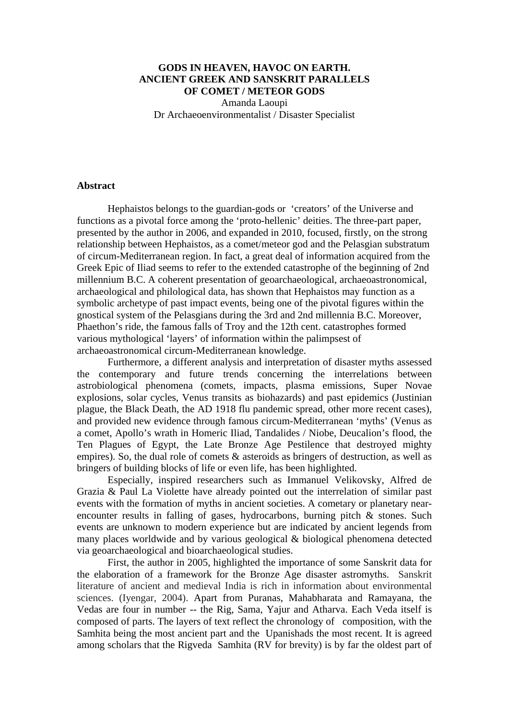# **GODS IN HEAVEN, HAVOC ON EARTH. ANCIENT GREEK AND SANSKRIT PARALLELS OF COMET / METEOR GODS**

Amanda Laoupi Dr Archaeoenvironmentalist / Disaster Specialist

### **Abstract**

Hephaistos belongs to the guardian-gods or 'creators' of the Universe and functions as a pivotal force among the 'proto-hellenic' deities. The three-part paper, presented by the author in 2006, and expanded in 2010, focused, firstly, on the strong relationship between Hephaistos, as a comet/meteor god and the Pelasgian substratum of circum-Mediterranean region. In fact, a great deal of information acquired from the Greek Epic of Iliad seems to refer to the extended catastrophe of the beginning of 2nd millennium B.C. A coherent presentation of geoarchaeological, archaeoastronomical, archaeological and philological data, has shown that Hephaistos may function as a symbolic archetype of past impact events, being one of the pivotal figures within the gnostical system of the Pelasgians during the 3rd and 2nd millennia B.C. Moreover, Phaethon's ride, the famous falls of Troy and the 12th cent. catastrophes formed various mythological 'layers' of information within the palimpsest of archaeoastronomical circum-Mediterranean knowledge.

Furthermore, a different analysis and interpretation of disaster myths assessed the contemporary and future trends concerning the interrelations between astrobiological phenomena (comets, impacts, plasma emissions, Super Novae explosions, solar cycles, Venus transits as biohazards) and past epidemics (Justinian plague, the Black Death, the AD 1918 flu pandemic spread, other more recent cases), and provided new evidence through famous circum-Mediterranean 'myths' (Venus as a comet, Apollo's wrath in Homeric Iliad, Tandalides / Niobe, Deucalion's flood, the Ten Plagues of Egypt, the Late Bronze Age Pestilence that destroyed mighty empires). So, the dual role of comets & asteroids as bringers of destruction, as well as bringers of building blocks of life or even life, has been highlighted.

Especially, inspired researchers such as Immanuel Velikovsky, Alfred de Grazia & Paul La Violette have already pointed out the interrelation of similar past events with the formation of myths in ancient societies. A cometary or planetary nearencounter results in falling of gases, hydrocarbons, burning pitch & stones. Such events are unknown to modern experience but are indicated by ancient legends from many places worldwide and by various geological & biological phenomena detected via geoarchaeological and bioarchaeological studies.

First, the author in 2005, highlighted the importance of some Sanskrit data for the elaboration of a framework for the Bronze Age disaster astromyths. Sanskrit literature of ancient and medieval India is rich in information about environmental sciences. (Iyengar, 2004). Apart from Puranas, Mahabharata and Ramayana, the Vedas are four in number -- the Rig, Sama, Yajur and Atharva. Each Veda itself is composed of parts. The layers of text reflect the chronology of composition, with the Samhita being the most ancient part and the Upanishads the most recent. It is agreed among scholars that the Rigveda Samhita (RV for brevity) is by far the oldest part of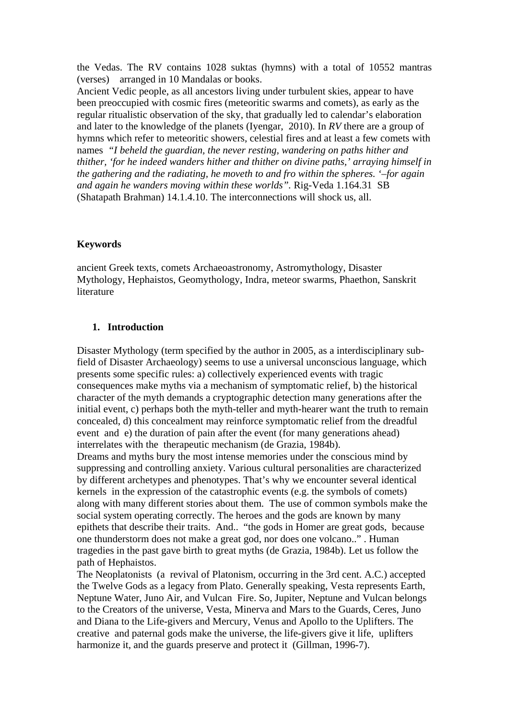the Vedas. The RV contains 1028 suktas (hymns) with a total of 10552 mantras (verses) arranged in 10 Mandalas or books.

Ancient Vedic people, as all ancestors living under turbulent skies, appear to have been preoccupied with cosmic fires (meteoritic swarms and comets), as early as the regular ritualistic observation of the sky, that gradually led to calendar's elaboration and later to the knowledge of the planets (Iyengar, 2010). In *RV* there are a group of hymns which refer to meteoritic showers, celestial fires and at least a few comets with names*"I beheld the guardian, the never resting, wandering on paths hither and thither, 'for he indeed wanders hither and thither on divine paths,' arraying himself in the gathering and the radiating, he moveth to and fro within the spheres. '–for again and again he wanders moving within these worlds".* Rig-Veda 1.164.31 SB (Shatapath Brahman) 14.1.4.10. The interconnections will shock us, all.

### **Keywords**

ancient Greek texts, comets Archaeoastronomy, Astromythology, Disaster Mythology, Hephaistos, Geomythology, Indra, meteor swarms, Phaethon, Sanskrit literature

#### **1. Introduction**

Disaster Mythology (term specified by the author in 2005, as a interdisciplinary subfield of Disaster Archaeology) seems to use a universal unconscious language, which presents some specific rules: a) collectively experienced events with tragic consequences make myths via a mechanism of symptomatic relief, b) the historical character of the myth demands a cryptographic detection many generations after the initial event, c) perhaps both the myth-teller and myth-hearer want the truth to remain concealed, d) this concealment may reinforce symptomatic relief from the dreadful event and e) the duration of pain after the event (for many generations ahead) interrelates with the therapeutic mechanism (de Grazia, 1984b).

Dreams and myths bury the most intense memories under the conscious mind by suppressing and controlling anxiety. Various cultural personalities are characterized by different archetypes and phenotypes. That's why we encounter several identical kernels in the expression of the catastrophic events (e.g. the symbols of comets) along with many different stories about them. The use of common symbols make the social system operating correctly. The heroes and the gods are known by many epithets that describe their traits. And.. "the gods in Homer are great gods, because one thunderstorm does not make a great god, nor does one volcano.." . Human tragedies in the past gave birth to great myths (de Grazia, 1984b). Let us follow the path of Hephaistos.

The Neoplatonists (a revival of Platonism, occurring in the 3rd cent. A.C.) accepted the Twelve Gods as a legacy from Plato. Generally speaking, Vesta represents Earth, Neptune Water, Juno Air, and Vulcan Fire. So, Jupiter, Neptune and Vulcan belongs to the Creators of the universe, Vesta, Minerva and Mars to the Guards, Ceres, Juno and Diana to the Life-givers and Mercury, Venus and Apollo to the Uplifters. The creative and paternal gods make the universe, the life-givers give it life, uplifters harmonize it, and the guards preserve and protect it (Gillman, 1996-7).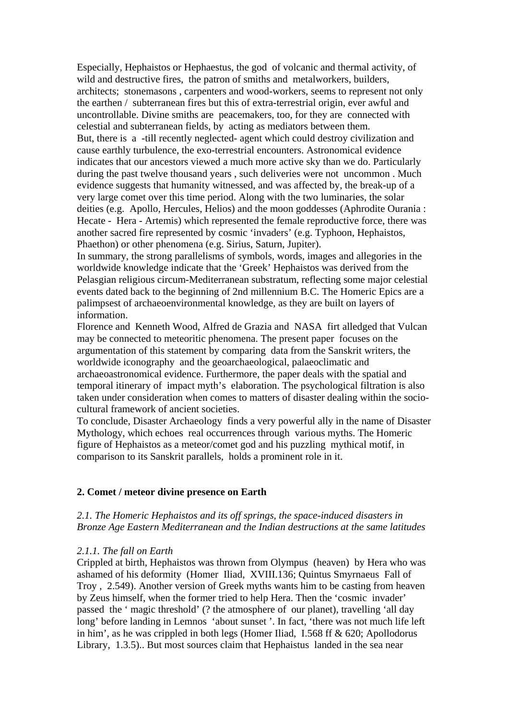Especially, Hephaistos or Hephaestus, the god of volcanic and thermal activity, of wild and destructive fires, the patron of smiths and metalworkers, builders, architects; stonemasons , carpenters and wood-workers, seems to represent not only the earthen / subterranean fires but this of extra-terrestrial origin, ever awful and uncontrollable. Divine smiths are peacemakers, too, for they are connected with celestial and subterranean fields, by acting as mediators between them. But, there is a -till recently neglected- agent which could destroy civilization and cause earthly turbulence, the exo-terrestrial encounters. Astronomical evidence indicates that our ancestors viewed a much more active sky than we do. Particularly during the past twelve thousand years , such deliveries were not uncommon . Much evidence suggests that humanity witnessed, and was affected by, the break-up of a very large comet over this time period. Along with the two luminaries, the solar deities (e.g. Apollo, Hercules, Helios) and the moon goddesses (Aphrodite Ourania : Hecate - Hera - Artemis) which represented the female reproductive force, there was another sacred fire represented by cosmic 'invaders' (e.g. Typhoon, Hephaistos, Phaethon) or other phenomena (e.g. Sirius, Saturn, Jupiter).

In summary, the strong parallelisms of symbols, words, images and allegories in the worldwide knowledge indicate that the 'Greek' Hephaistos was derived from the Pelasgian religious circum-Mediterranean substratum, reflecting some major celestial events dated back to the beginning of 2nd millennium B.C. The Homeric Epics are a palimpsest of archaeoenvironmental knowledge, as they are built on layers of information.

Florence and Kenneth Wood, Alfred de Grazia and NASA firt alledged that Vulcan may be connected to meteoritic phenomena. The present paper focuses on the argumentation of this statement by comparing data from the Sanskrit writers, the worldwide iconography and the geoarchaeological, palaeoclimatic and archaeoastronomical evidence. Furthermore, the paper deals with the spatial and temporal itinerary of impact myth's elaboration. The psychological filtration is also taken under consideration when comes to matters of disaster dealing within the sociocultural framework of ancient societies.

To conclude, Disaster Archaeology finds a very powerful ally in the name of Disaster Mythology, which echoes real occurrences through various myths. The Homeric figure of Hephaistos as a meteor/comet god and his puzzling mythical motif, in comparison to its Sanskrit parallels, holds a prominent role in it.

### **2. Comet / meteor divine presence on Earth**

## *2.1. The Homeric Hephaistos and its off springs, the space-induced disasters in Bronze Age Eastern Mediterranean and the Indian destructions at the same latitudes*

### *2.1.1. The fall on Earth*

Crippled at birth, Hephaistos was thrown from Olympus (heaven) by Hera who was ashamed of his deformity (Homer Iliad, XVIII.136; Quintus Smyrnaeus Fall of Troy , 2.549). Another version of Greek myths wants him to be casting from heaven by Zeus himself, when the former tried to help Hera. Then the 'cosmic invader' passed the ' magic threshold' (? the atmosphere of our planet), travelling 'all day long' before landing in Lemnos 'about sunset '. In fact, 'there was not much life left in him', as he was crippled in both legs (Homer Iliad, I.568 ff & 620; Apollodorus Library, 1.3.5).. But most sources claim that Hephaistus landed in the sea near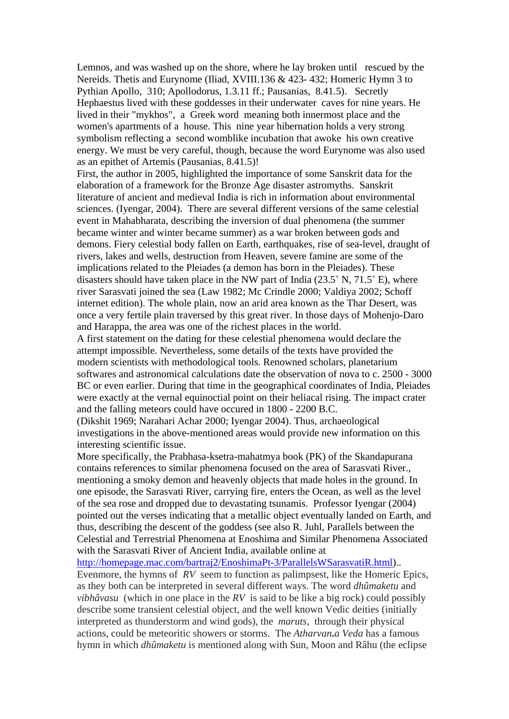Lemnos, and was washed up on the shore, where he lay broken until rescued by the Nereids. Thetis and Eurynome (Iliad, XVIII.136 & 423- 432; Homeric Hymn 3 to Pythian Apollo, 310; Apollodorus, 1.3.11 ff.; Pausanias, 8.41.5). Secretly Hephaestus lived with these goddesses in their underwater caves for nine years. He lived in their "mykhos", a Greek word meaning both innermost place and the women's apartments of a house. This nine year hibernation holds a very strong symbolism reflecting a second womblike incubation that awoke his own creative energy. We must be very careful, though, because the word Eurynome was also used as an epithet of Artemis (Pausanias, 8.41.5)!

First, the author in 2005, highlighted the importance of some Sanskrit data for the elaboration of a framework for the Bronze Age disaster astromyths. Sanskrit literature of ancient and medieval India is rich in information about environmental sciences. (Iyengar, 2004). There are several different versions of the same celestial event in Mahabharata, describing the inversion of dual phenomena (the summer became winter and winter became summer) as a war broken between gods and demons. Fiery celestial body fallen on Earth, earthquakes, rise of sea-level, draught of rivers, lakes and wells, destruction from Heaven, severe famine are some of the implications related to the Pleiades (a demon has born in the Pleiades). These disasters should have taken place in the NW part of India  $(23.5^\circ \text{ N}, 71.5^\circ \text{ E})$ , where river Sarasvati joined the sea (Law 1982; Mc Crindle 2000; Valdiya 2002; Schoff internet edition). The whole plain, now an arid area known as the Thar Desert, was once a very fertile plain traversed by this great river. In those days of Mohenjo-Daro and Harappa, the area was one of the richest places in the world.

A first statement on the dating for these celestial phenomena would declare the attempt impossible. Nevertheless, some details of the texts have provided the modern scientists with methodological tools. Renowned scholars, planetarium softwares and astronomical calculations date the observation of nova to c. 2500 - 3000 BC or even earlier. During that time in the geographical coordinates of India, Pleiades were exactly at the vernal equinoctial point on their heliacal rising. The impact crater and the falling meteors could have occured in 1800 - 2200 B.C.

(Dikshit 1969; Narahari Achar 2000; Iyengar 2004). Thus, archaeological investigations in the above-mentioned areas would provide new information on this interesting scientific issue.

More specifically, the Prabhasa-ksetra-mahatmya book (PK) of the Skandapurana contains references to similar phenomena focused on the area of Sarasvati River., mentioning a smoky demon and heavenly objects that made holes in the ground. In one episode, the Sarasvati River, carrying fire, enters the Ocean, as well as the level of the sea rose and dropped due to devastating tsunamis. Professor Iyengar (2004) pointed out the verses indicating that a metallic object eventually landed on Earth, and thus, describing the descent of the goddess (see also R. Juhl, Parallels between the Celestial and Terrestrial Phenomena at Enoshima and Similar Phenomena Associated with the Sarasvati River of Ancient India, available online at

[http://homepage.mac.com/bartraj2/EnoshimaPt-3/ParallelsWSarasvatiR.html\)](http://homepage.mac.com/bartraj2/EnoshimaPt-3/ParallelsWSarasvatiR.html).. Evenmore, the hymns of *RV* seem to function as palimpsest, like the Homeric Epics, as they both can be interpreted in several different ways. The word *dhûmaketu* and *vibhâvasu* (which in one place in the *RV* is said to be like a big rock) could possibly describe some transient celestial object, and the well known Vedic deities (initially interpreted as thunderstorm and wind gods), the *maruts,* through their physical actions, could be meteoritic showers or storms. The *Atharvan***.***a Veda* has a famous hymn in which *dhûmaketu* is mentioned along with Sun, Moon and Râhu (the eclipse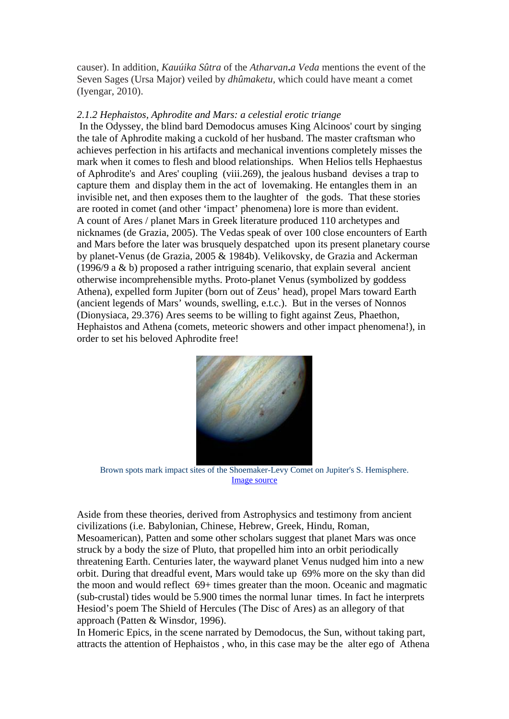causer). In addition, *Kauúika Sûtra* of the *Atharvan***.***a Veda* mentions the event of the Seven Sages (Ursa Major) veiled by *dhûmaketu,* which could have meant a comet (Iyengar, 2010).

#### *2.1.2 Hephaistos, Aphrodite and Mars: a celestial erotic triange*

In the Odyssey, the blind bard Demodocus amuses King Alcinoos' court by singing the tale of Aphrodite making a cuckold of her husband. The master craftsman who achieves perfection in his artifacts and mechanical inventions completely misses the mark when it comes to flesh and blood relationships. When Helios tells Hephaestus of Aphrodite's and Ares' coupling (viii.269), the jealous husband devises a trap to capture them and display them in the act of lovemaking. He entangles them in an invisible net, and then exposes them to the laughter of the gods. That these stories are rooted in comet (and other 'impact' phenomena) lore is more than evident. A count of Ares / planet Mars in Greek literature produced 110 archetypes and nicknames (de Grazia, 2005). The Vedas speak of over 100 close encounters of Earth and Mars before the later was brusquely despatched upon its present planetary course by planet-Venus (de Grazia, 2005 & 1984b). Velikovsky, de Grazia and Ackerman (1996/9 a & b) proposed a rather intriguing scenario, that explain several ancient otherwise incomprehensible myths. Proto-planet Venus (symbolized by goddess Athena), expelled form Jupiter (born out of Zeus' head), propel Mars toward Earth (ancient legends of Mars' wounds, swelling, e.t.c.). But in the verses of Nonnos (Dionysiaca, 29.376) Ares seems to be willing to fight against Zeus, Phaethon, Hephaistos and Athena (comets, meteoric showers and other impact phenomena!), in order to set his beloved Aphrodite free!



Brown spots mark impact sites of the Shoemaker-Levy Comet on Jupiter's S. Hemisphere. [Image source](http://en.wikipedia.org/wiki/Comet)

Aside from these theories, derived from Astrophysics and testimony from ancient civilizations (i.e. Babylonian, Chinese, Hebrew, Greek, Hindu, Roman, Mesoamerican), Patten and some other scholars suggest that planet Mars was once struck by a body the size of Pluto, that propelled him into an orbit periodically threatening Earth. Centuries later, the wayward planet Venus nudged him into a new orbit. During that dreadful event, Mars would take up 69% more on the sky than did the moon and would reflect 69+ times greater than the moon. Oceanic and magmatic (sub-crustal) tides would be 5.900 times the normal lunar times. In fact he interprets Hesiod's poem The Shield of Hercules (The Disc of Ares) as an allegory of that approach (Patten & Winsdor, 1996).

In Homeric Epics, in the scene narrated by Demodocus, the Sun, without taking part, attracts the attention of Hephaistos , who, in this case may be the alter ego of Athena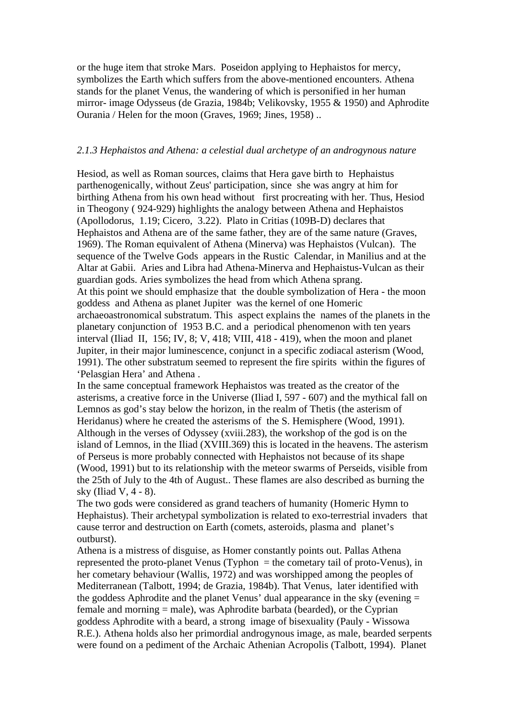or the huge item that stroke Mars. Poseidon applying to Hephaistos for mercy, symbolizes the Earth which suffers from the above-mentioned encounters. Athena stands for the planet Venus, the wandering of which is personified in her human mirror- image Odysseus (de Grazia, 1984b; Velikovsky, 1955 & 1950) and Aphrodite Ourania / Helen for the moon (Graves, 1969; Jines, 1958) ..

### *2.1.3 Hephaistos and Athena: a celestial dual archetype of an androgynous nature*

Hesiod, as well as Roman sources, claims that Hera gave birth to Hephaistus parthenogenically, without Zeus' participation, since she was angry at him for birthing Athena from his own head without first procreating with her. Thus, Hesiod in Theogony ( 924-929) highlights the analogy between Athena and Hephaistos (Apollodorus, 1.19; Cicero, 3.22). Plato in Critias (109B-D) declares that Hephaistos and Athena are of the same father, they are of the same nature (Graves, 1969). The Roman equivalent of Athena (Minerva) was Hephaistos (Vulcan). The sequence of the Twelve Gods appears in the Rustic Calendar, in Manilius and at the Altar at Gabii. Aries and Libra had Athena-Minerva and Hephaistus-Vulcan as their guardian gods. Aries symbolizes the head from which Athena sprang. At this point we should emphasize that the double symbolization of Hera - the moon goddess and Athena as planet Jupiter was the kernel of one Homeric archaeoastronomical substratum. This aspect explains the names of the planets in the planetary conjunction of 1953 B.C. and a periodical phenomenon with ten years interval (Iliad II, 156; IV, 8; V, 418; VIII, 418 - 419), when the moon and planet Jupiter, in their major luminescence, conjunct in a specific zodiacal asterism (Wood, 1991). The other substratum seemed to represent the fire spirits within the figures of 'Pelasgian Hera' and Athena .

In the same conceptual framework Hephaistos was treated as the creator of the asterisms, a creative force in the Universe (Iliad I, 597 - 607) and the mythical fall on Lemnos as god's stay below the horizon, in the realm of Thetis (the asterism of Heridanus) where he created the asterisms of the S. Hemisphere (Wood, 1991). Although in the verses of Odyssey (xviii.283), the workshop of the god is on the island of Lemnos, in the Iliad (XVIII.369) this is located in the heavens. The asterism of Perseus is more probably connected with Hephaistos not because of its shape (Wood, 1991) but to its relationship with the meteor swarms of Perseids, visible from the 25th of July to the 4th of August.. These flames are also described as burning the sky (Iliad V, 4 - 8).

The two gods were considered as grand teachers of humanity (Homeric Hymn to Hephaistus). Their archetypal symbolization is related to exo-terrestrial invaders that cause terror and destruction on Earth (comets, asteroids, plasma and planet's outburst).

Athena is a mistress of disguise, as Homer constantly points out. Pallas Athena represented the proto-planet Venus (Typhon  $=$  the cometary tail of proto-Venus), in her cometary behaviour (Wallis, 1972) and was worshipped among the peoples of Mediterranean (Talbott, 1994; de Grazia, 1984b). That Venus, later identified with the goddess Aphrodite and the planet Venus' dual appearance in the sky (evening = female and morning = male), was Aphrodite barbata (bearded), or the Cyprian goddess Aphrodite with a beard, a strong image of bisexuality (Pauly - Wissowa R.E.). Athena holds also her primordial androgynous image, as male, bearded serpents were found on a pediment of the Archaic Athenian Acropolis (Talbott, 1994). Planet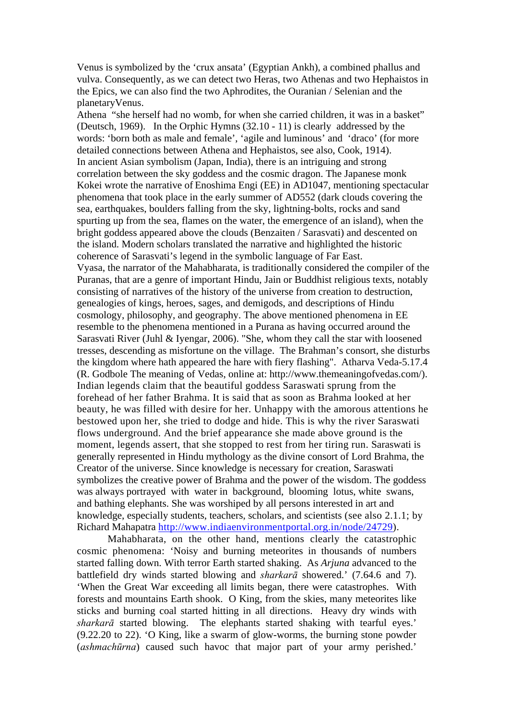Venus is symbolized by the 'crux ansata' (Egyptian Ankh), a combined phallus and vulva. Consequently, as we can detect two Heras, two Athenas and two Hephaistos in the Epics, we can also find the two Aphrodites, the Ouranian / Selenian and the planetaryVenus.

Athena "she herself had no womb, for when she carried children, it was in a basket" (Deutsch, 1969). In the Orphic Hymns (32.10 - 11) is clearly addressed by the words: 'born both as male and female', 'agile and luminous' and 'draco' (for more detailed connections between Athena and Hephaistos, see also, Cook, 1914). In ancient Asian symbolism (Japan, India), there is an intriguing and strong correlation between the sky goddess and the cosmic dragon. The Japanese monk Kokei wrote the narrative of Enoshima Engi (EE) in AD1047, mentioning spectacular phenomena that took place in the early summer of AD552 (dark clouds covering the sea, earthquakes, boulders falling from the sky, lightning-bolts, rocks and sand spurting up from the sea, flames on the water, the emergence of an island), when the bright goddess appeared above the clouds (Benzaiten / Sarasvati) and descented on the island. Modern scholars translated the narrative and highlighted the historic coherence of Sarasvati's legend in the symbolic language of Far East. Vyasa, the narrator of the Mahabharata, is traditionally considered the compiler of the Puranas, that are a genre of important Hindu, Jain or Buddhist religious texts, notably consisting of narratives of the history of the universe from creation to destruction, genealogies of kings, heroes, sages, and demigods, and descriptions of Hindu cosmology, philosophy, and geography. The above mentioned phenomena in EE resemble to the phenomena mentioned in a Purana as having occurred around the Sarasvati River (Juhl & Iyengar, 2006). "She, whom they call the star with loosened tresses, descending as misfortune on the village. The Brahman's consort, she disturbs the kingdom where hath appeared the hare with fiery flashing". Atharva Veda-5.17.4 (R. Godbole The meaning of Vedas, online at: http://www.themeaningofvedas.com/). Indian legends claim that the beautiful goddess Saraswati sprung from the forehead of her father Brahma. It is said that as soon as Brahma looked at her beauty, he was filled with desire for her. Unhappy with the amorous attentions he bestowed upon her, she tried to dodge and hide. This is why the river Saraswati flows underground. And the brief appearance she made above ground is the moment, legends assert, that she stopped to rest from her tiring run. Saraswati is generally represented in Hindu mythology as the divine consort of Lord Brahma, the Creator of the universe. Since knowledge is necessary for creation, Saraswati symbolizes the creative power of Brahma and the power of the wisdom. The goddess was always portrayed with water in background, blooming lotus, white swans, and bathing elephants. She was worshiped by all persons interested in art and knowledge, especially students, teachers, scholars, and scientists (see also 2.1.1; by Richard Mahapatra [http://www.indiaenvironmentportal.org.in/node/24729\)](http://www.indiaenvironmentportal.org.in/node/24729).

Mahabharata, on the other hand, mentions clearly the catastrophic cosmic phenomena: 'Noisy and burning meteorites in thousands of numbers started falling down. With terror Earth started shaking. As *Arjuna* advanced to the battlefield dry winds started blowing and *sharkarā* showered.' (7.64.6 and 7). 'When the Great War exceeding all limits began, there were catastrophes. With forests and mountains Earth shook. O King, from the skies, many meteorites like sticks and burning coal started hitting in all directions. Heavy dry winds with *sharkarā* started blowing. The elephants started shaking with tearful eyes.' (9.22.20 to 22). 'O King, like a swarm of glow-worms, the burning stone powder (*ashmachūrna*) caused such havoc that major part of your army perished.'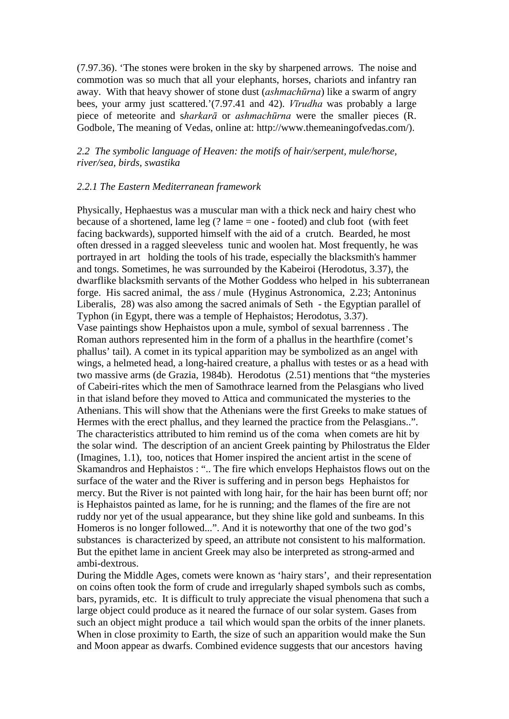(7.97.36). 'The stones were broken in the sky by sharpened arrows. The noise and commotion was so much that all your elephants, horses, chariots and infantry ran away. With that heavy shower of stone dust (*ashmachūrna*) like a swarm of angry bees, your army just scattered.'(7.97.41 and 42). *Vīrudha* was probably a large piece of meteorite and s*harkarā* or *ashmachūrna* were the smaller pieces (R. Godbole, The meaning of Vedas, online at: http://www.themeaningofvedas.com/).

## *2.2 The symbolic language of Heaven: the motifs of hair/serpent, mule/horse, river/sea, birds, swastika*

#### *2.2.1 The Eastern Mediterranean framework*

Physically, Hephaestus was a muscular man with a thick neck and hairy chest who because of a shortened, lame leg  $(?)$  lame = one - footed) and club foot (with feet facing backwards), supported himself with the aid of a crutch. Bearded, he most often dressed in a ragged sleeveless tunic and woolen hat. Most frequently, he was portrayed in art holding the tools of his trade, especially the blacksmith's hammer and tongs. Sometimes, he was surrounded by the Kabeiroi (Herodotus, 3.37), the dwarflike blacksmith servants of the Mother Goddess who helped in his subterranean forge. His sacred animal, the ass / mule (Hyginus Astronomica, 2.23; Antoninus Liberalis, 28) was also among the sacred animals of Seth - the Egyptian parallel of Typhon (in Egypt, there was a temple of Hephaistos; Herodotus, 3.37). Vase paintings show Hephaistos upon a mule, symbol of sexual barrenness . The Roman authors represented him in the form of a phallus in the hearthfire (comet's phallus' tail). A comet in its typical apparition may be symbolized as an angel with wings, a helmeted head, a long-haired creature, a phallus with testes or as a head with two massive arms (de Grazia, 1984b). Herodotus (2.51) mentions that "the mysteries of Cabeiri-rites which the men of Samothrace learned from the Pelasgians who lived in that island before they moved to Attica and communicated the mysteries to the Athenians. This will show that the Athenians were the first Greeks to make statues of Hermes with the erect phallus, and they learned the practice from the Pelasgians..". The characteristics attributed to him remind us of the coma when comets are hit by the solar wind. The description of an ancient Greek painting by Philostratus the Elder (Imagines, 1.1), too, notices that Homer inspired the ancient artist in the scene of Skamandros and Hephaistos : ".. The fire which envelops Hephaistos flows out on the surface of the water and the River is suffering and in person begs Hephaistos for mercy. But the River is not painted with long hair, for the hair has been burnt off; nor is Hephaistos painted as lame, for he is running; and the flames of the fire are not ruddy nor yet of the usual appearance, but they shine like gold and sunbeams. In this Homeros is no longer followed...". And it is noteworthy that one of the two god's substances is characterized by speed, an attribute not consistent to his malformation. But the epithet lame in ancient Greek may also be interpreted as strong-armed and ambi-dextrous.

During the Middle Ages, comets were known as 'hairy stars', and their representation on coins often took the form of crude and irregularly shaped symbols such as combs, bars, pyramids, etc. It is difficult to truly appreciate the visual phenomena that such a large object could produce as it neared the furnace of our solar system. Gases from such an object might produce a tail which would span the orbits of the inner planets. When in close proximity to Earth, the size of such an apparition would make the Sun and Moon appear as dwarfs. Combined evidence suggests that our ancestors having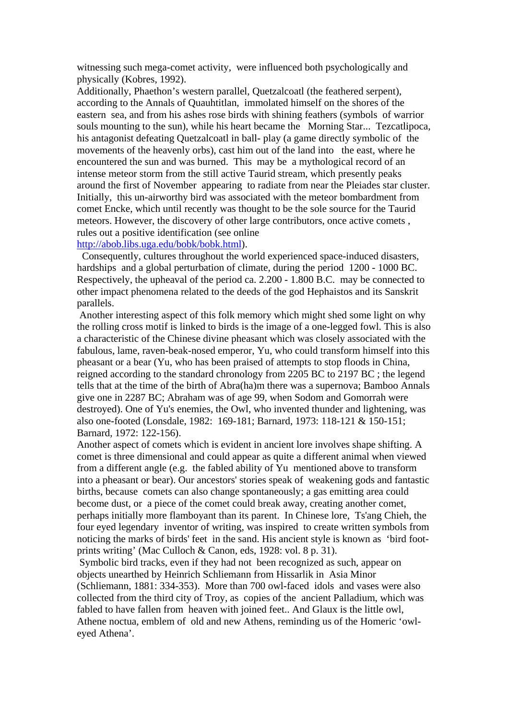witnessing such mega-comet activity, were influenced both psychologically and physically (Kobres, 1992).

Additionally, Phaethon's western parallel, Quetzalcoatl (the feathered serpent), according to the Annals of Quauhtitlan, immolated himself on the shores of the eastern sea, and from his ashes rose birds with shining feathers (symbols of warrior souls mounting to the sun), while his heart became the Morning Star... Tezcatlipoca, his antagonist defeating Quetzalcoatl in ball- play (a game directly symbolic of the movements of the heavenly orbs), cast him out of the land into the east, where he encountered the sun and was burned. This may be a mythological record of an intense meteor storm from the still active Taurid stream, which presently peaks around the first of November appearing to radiate from near the Pleiades star cluster. Initially, this un-airworthy bird was associated with the meteor bombardment from comet Encke, which until recently was thought to be the sole source for the Taurid meteors. However, the discovery of other large contributors, once active comets , rules out a positive identification (see online

## [http://abob.libs.uga.edu/bobk/bobk.html\)](http://abob.libs.uga.edu/bobk/bobk.html).

 Consequently, cultures throughout the world experienced space-induced disasters, hardships and a global perturbation of climate, during the period 1200 - 1000 BC. Respectively, the upheaval of the period ca. 2.200 - 1.800 B.C. may be connected to other impact phenomena related to the deeds of the god Hephaistos and its Sanskrit parallels.

Another interesting aspect of this folk memory which might shed some light on why the rolling cross motif is linked to birds is the image of a one-legged fowl. This is also a characteristic of the Chinese divine pheasant which was closely associated with the fabulous, lame, raven-beak-nosed emperor, Yu, who could transform himself into this pheasant or a bear (Yu, who has been praised of attempts to stop floods in China, reigned according to the standard chronology from 2205 BC to 2197 BC ; the legend tells that at the time of the birth of Abra(ha)m there was a supernova; Bamboo Annals give one in 2287 BC; Abraham was of age 99, when Sodom and Gomorrah were destroyed). One of Yu's enemies, the Owl, who invented thunder and lightening, was also one-footed (Lonsdale, 1982: 169-181; Barnard, 1973: 118-121 & 150-151; Barnard, 1972: 122-156).

Another aspect of comets which is evident in ancient lore involves shape shifting. A comet is three dimensional and could appear as quite a different animal when viewed from a different angle (e.g. the fabled ability of Yu mentioned above to transform into a pheasant or bear). Our ancestors' stories speak of weakening gods and fantastic births, because comets can also change spontaneously; a gas emitting area could become dust, or a piece of the comet could break away, creating another comet, perhaps initially more flamboyant than its parent. In Chinese lore, Ts'ang Chieh, the four eyed legendary inventor of writing, was inspired to create written symbols from noticing the marks of birds' feet in the sand. His ancient style is known as 'bird footprints writing' (Mac Culloch & Canon, eds, 1928: vol. 8 p. 31).

Symbolic bird tracks, even if they had not been recognized as such, appear on objects unearthed by Heinrich Schliemann from Hissarlik in Asia Minor (Schliemann, 1881: 334-353). More than 700 owl-faced idols and vases were also collected from the third city of Troy, as copies of the ancient Palladium, which was fabled to have fallen from heaven with joined feet.. And Glaux is the little owl, Athene noctua, emblem of old and new Athens, reminding us of the Homeric 'owleyed Athena'.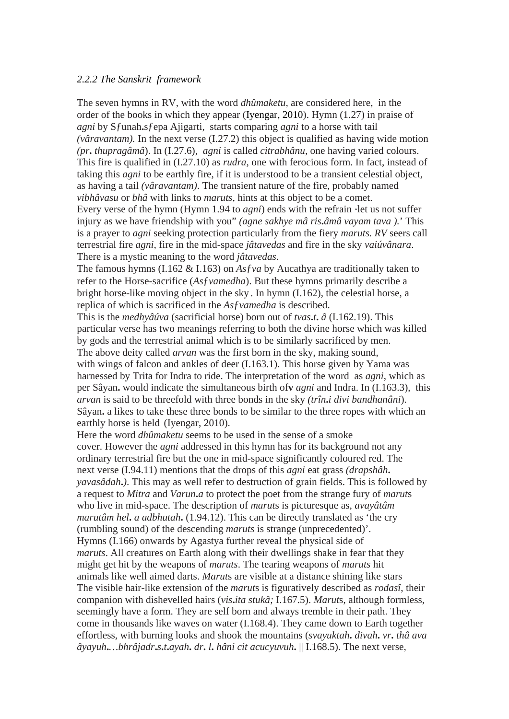### *2.2.2 The Sanskrit framework*

The seven hymns in RV, with the word *dhûmaketu,* are considered here, in the order of the books in which they appear (Iyengar, 2010). Hymn (1.27) in praise of *agni* by Sƒunah**.**sƒepa Ajigarti, starts comparing *agni* to a horse with tail *(vâravantam).* In the next verse (I.27.2) this object is qualified as having wide motion *(pr***.** *thupragâmâ*). In (I.27.6), *agni* is called *citrabhânu,* one having varied colours. This fire is qualified in (I.27.10) as *rudra*, one with ferocious form. In fact, instead of taking this *agni* to be earthly fire, if it is understood to be a transient celestial object, as having a tail *(vâravantam)*. The transient nature of the fire, probably named *vibhâvasu* or *bhâ* with links to *maruts*, hints at this object to be a comet. Every verse of the hymn (Hymn 1.94 to *agni*) ends with the refrain "let us not suffer injury as we have friendship with you" *(agne sakhye mâ ris***.***âmâ vayam tava ).*' This is a prayer to *agni* seeking protection particularly from the fiery *maruts. RV* seers call

terrestrial fire *agni*, fire in the mid-space *jâtavedas* and fire in the sky *vaiúvânara*. There is a mystic meaning to the word *jâtavedas*.

The famous hymns (I.162 & I.163) on *As*ƒ*va* by Aucathya are traditionally taken to refer to the Horse-sacrifice (*As*ƒ*vamedha*). But these hymns primarily describe a bright horse-like moving object in the sky . In hymn (I.162), the celestial horse, a replica of which is sacrificed in the *As*ƒ*vamedha* is described.

This is the *medhyâúva* (sacrificial horse) born out of *tvas***.***t***.** *â* (I.162.19). This particular verse has two meanings referring to both the divine horse which was killed by gods and the terrestrial animal which is to be similarly sacrificed by men. The above deity called *arvan* was the first born in the sky, making sound, with wings of falcon and ankles of deer  $(I.163.1)$ . This horse given by Yama was harnessed by Trita for Indra to ride. The interpretation of the word as *agni*, which as per Sâyan**.** would indicate the simultaneous birth of**v** *agni* and Indra. In (I.163.3), this *arvan* is said to be threefold with three bonds in the sky *(trîn***.***i divi bandhanâni*). Sâyan**.** a likes to take these three bonds to be similar to the three ropes with which an earthly horse is held (Iyengar, 2010).

Here the word *dhûmaketu* seems to be used in the sense of a smoke cover. However the *agni* addressed in this hymn has for its background not any ordinary terrestrial fire but the one in mid-space significantly coloured red. The next verse (I.94.11) mentions that the drops of this *agni* eat grass *(drapshâh***.** *yavasâdah***.***)*. This may as well refer to destruction of grain fields. This is followed by a request to *Mitra* and *Varun***.***a* to protect the poet from the strange fury of *marut*s who live in mid-space. The description of *marut*s is picturesque as, *avayâtâm marutâm hel***.** *a adbhutah***.** (1.94.12). This can be directly translated as 'the cry (rumbling sound) of the descending *maruts* is strange (unprecedented)'. Hymns (I.166) onwards by Agastya further reveal the physical side of *maruts*. All creatures on Earth along with their dwellings shake in fear that they might get hit by the weapons of *maruts*. The tearing weapons of *maruts* hit animals like well aimed darts. *Marut*s are visible at a distance shining like stars The visible hair-like extension of the *marut*s is figuratively described as *rodasî*, their companion with dishevelled hairs (*vis***.***ita stukâ;* I.167.5). *Marut*s, although formless, seemingly have a form. They are self born and always tremble in their path. They come in thousands like waves on water (I.168.4). They came down to Earth together effortless, with burning looks and shook the mountains (*svayuktah***.** *divah***.** *vr***.** *thâ ava âyayuh***.***…bhrâjadr***.***s***.***t***.***ayah***.** *dr***.** *l***.** *hâni cit acucyuvuh***.** || I.168.5). The next verse,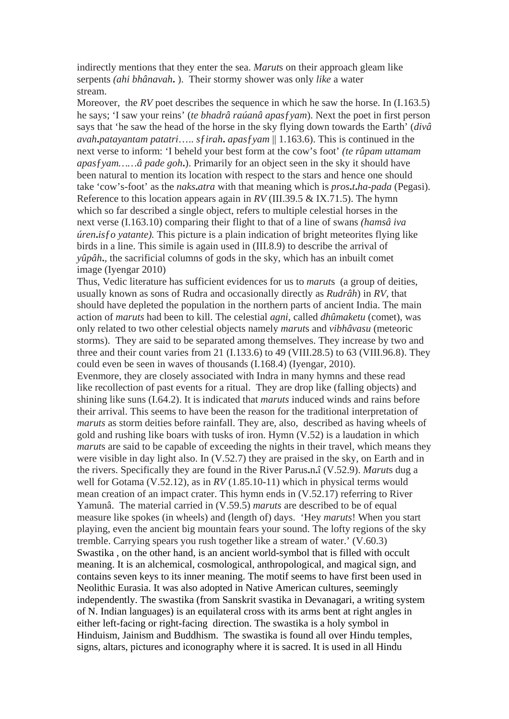indirectly mentions that they enter the sea. *Marut*s on their approach gleam like serpents *(ahi bhânavah***.** ). Their stormy shower was only *like* a water stream.

Moreover, the *RV* poet describes the sequence in which he saw the horse. In (I.163.5) he says; 'I saw your reins' (*te bhadrâ raúanâ apas*ƒ*yam*). Next the poet in first person says that 'he saw the head of the horse in the sky flying down towards the Earth' (*divâ avah***.***patayantam patatri*….. *s*ƒ*irah***.** *apas*ƒ*yam* || 1.163.6). This is continued in the next verse to inform: 'I beheld your best form at the cow's foot' *(te rûpam uttamam apas*ƒ*yam……â pade goh***.**). Primarily for an object seen in the sky it should have been natural to mention its location with respect to the stars and hence one should take 'cow's-foot' as the *naks***.***atra* with that meaning which is *pros***.***t***.***ha-pada* (Pegasi). Reference to this location appears again in *RV* (III.39.5 & IX.71.5). The hymn which so far described a single object, refers to multiple celestial horses in the next verse (I.163.10) comparing their flight to that of a line of swans *(hamsâ iva úren***.***isfo vatante*). This picture is a plain indication of bright meteorites flying like birds in a line. This simile is again used in (III.8.9) to describe the arrival of *yûpâh***.***,* the sacrificial columns of gods in the sky, which has an inbuilt comet image (Iyengar 2010)

Thus, Vedic literature has sufficient evidences for us to *marut*s (a group of deities, usually known as sons of Rudra and occasionally directly as *Rudrâh*) in *RV,* that should have depleted the population in the northern parts of ancient India. The main action of *maruts* had been to kill. The celestial *agni*, called *dhûmaketu* (comet), was only related to two other celestial objects namely *marut*s and *vibhâvasu* (meteoric storms). They are said to be separated among themselves. They increase by two and three and their count varies from 21 (I.133.6) to 49 (VIII.28.5) to 63 (VIII.96.8). They could even be seen in waves of thousands (I.168.4) (Iyengar, 2010). Evenmore, they are closely associated with Indra in many hymns and these read

like recollection of past events for a ritual. They are drop like (falling objects) and shining like suns (I.64.2). It is indicated that *maruts* induced winds and rains before their arrival. This seems to have been the reason for the traditional interpretation of *maruts* as storm deities before rainfall. They are, also, described as having wheels of gold and rushing like boars with tusks of iron. Hymn (V.52) is a laudation in which *marut*s are said to be capable of exceeding the nights in their travel, which means they were visible in day light also. In (V.52.7) they are praised in the sky, on Earth and in the rivers. Specifically they are found in the River Parus**.**n**.**î (V.52.9). *Marut*s dug a well for Gotama (V.52.12), as in *RV* (1.85.10-11) which in physical terms would mean creation of an impact crater. This hymn ends in (V.52.17) referring to River Yamunâ. The material carried in (V.59.5) *maruts* are described to be of equal measure like spokes (in wheels) and (length of) days. 'Hey *maruts*! When you start playing, even the ancient big mountain fears your sound. The lofty regions of the sky tremble. Carrying spears you rush together like a stream of water.' (V.60.3) Swastika , on the other hand, is an ancient world-symbol that is filled with occult meaning. It is an alchemical, cosmological, anthropological, and magical sign, and contains seven keys to its inner meaning. The motif seems to have first been used in Neolithic Eurasia. It was also adopted in Native American cultures, seemingly independently. The swastika (from Sanskrit svastika in Devanagari, a writing system of N. Indian languages) is an equilateral cross with its arms bent at right angles in either left-facing or right-facing direction. The swastika is a holy symbol in Hinduism, Jainism and Buddhism. The swastika is found all over Hindu temples, signs, altars, pictures and iconography where it is sacred. It is used in all Hindu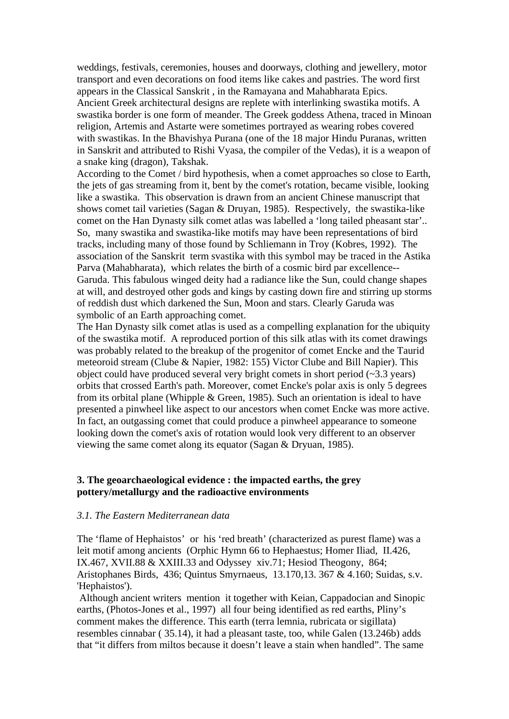weddings, festivals, ceremonies, houses and doorways, clothing and jewellery, motor transport and even decorations on food items like cakes and pastries. The word first appears in the Classical Sanskrit , in the Ramayana and Mahabharata Epics. Ancient Greek architectural designs are replete with interlinking swastika motifs. A swastika border is one form of meander. The Greek goddess Athena, traced in Minoan religion, Artemis and Astarte were sometimes portrayed as wearing robes covered with swastikas. In the Bhavishya Purana (one of the 18 major Hindu Puranas, written in Sanskrit and attributed to Rishi Vyasa, the compiler of the Vedas), it is a weapon of a snake king (dragon), Takshak.

According to the Comet / bird hypothesis, when a comet approaches so close to Earth, the jets of gas streaming from it, bent by the comet's rotation, became visible, looking like a swastika. This observation is drawn from an ancient Chinese manuscript that shows comet tail varieties (Sagan & Druyan, 1985). Respectively, the swastika-like comet on the Han Dynasty silk comet atlas was labelled a 'long tailed pheasant star'.. So, many swastika and swastika-like motifs may have been representations of bird tracks, including many of those found by Schliemann in Troy (Kobres, 1992). The association of the Sanskrit term svastika with this symbol may be traced in the Astika Parva (Mahabharata), which relates the birth of a cosmic bird par excellence-- Garuda. This fabulous winged deity had a radiance like the Sun, could change shapes at will, and destroyed other gods and kings by casting down fire and stirring up storms of reddish dust which darkened the Sun, Moon and stars. Clearly Garuda was symbolic of an Earth approaching comet.

The Han Dynasty silk comet atlas is used as a compelling explanation for the ubiquity of the swastika motif. A reproduced portion of this silk atlas with its comet drawings was probably related to the breakup of the progenitor of comet Encke and the Taurid meteoroid stream (Clube & Napier, 1982: 155) Victor Clube and Bill Napier). This object could have produced several very bright comets in short period  $(\sim 3.3 \text{ years})$ orbits that crossed Earth's path. Moreover, comet Encke's polar axis is only 5 degrees from its orbital plane (Whipple & Green, 1985). Such an orientation is ideal to have presented a pinwheel like aspect to our ancestors when comet Encke was more active. In fact, an outgassing comet that could produce a pinwheel appearance to someone looking down the comet's axis of rotation would look very different to an observer viewing the same comet along its equator (Sagan & Dryuan, 1985).

## **3. The geoarchaeological evidence : the impacted earths, the grey pottery/metallurgy and the radioactive environments**

### *3.1. The Eastern Mediterranean data*

The 'flame of Hephaistos' or his 'red breath' (characterized as purest flame) was a leit motif among ancients (Orphic Hymn 66 to Hephaestus; Homer Iliad, II.426, IX.467, XVII.88 & XXIII.33 and Odyssey xiv.71; Hesiod Theogony, 864; Aristophanes Birds, 436; Quintus Smyrnaeus, 13.170,13. 367 & 4.160; Suidas, s.v. 'Hephaistos').

Although ancient writers mention it together with Keian, Cappadocian and Sinopic earths, (Photos-Jones et al., 1997) all four being identified as red earths, Pliny's comment makes the difference. This earth (terra lemnia, rubricata or sigillata) resembles cinnabar ( 35.14), it had a pleasant taste, too, while Galen (13.246b) adds that "it differs from miltos because it doesn't leave a stain when handled". The same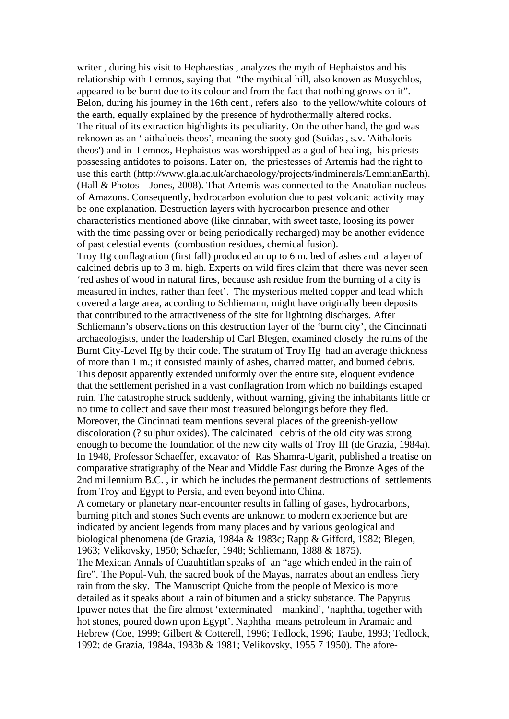writer , during his visit to Hephaestias , analyzes the myth of Hephaistos and his relationship with Lemnos, saying that "the mythical hill, also known as Mosychlos, appeared to be burnt due to its colour and from the fact that nothing grows on it". Belon, during his journey in the 16th cent., refers also to the yellow/white colours of the earth, equally explained by the presence of hydrothermally altered rocks. The ritual of its extraction highlights its peculiarity. On the other hand, the god was reknown as an ' aithaloeis theos', meaning the sooty god (Suidas , s.v. 'Aithaloeis theos') and in Lemnos, Hephaistos was worshipped as a god of healing, his priests possessing antidotes to poisons. Later on, the priestesses of Artemis had the right to use this earth (http://www.gla.ac.uk/archaeology/projects/indminerals/LemnianEarth). (Hall & Photos – Jones, 2008). That Artemis was connected to the Anatolian nucleus of Amazons. Consequently, hydrocarbon evolution due to past volcanic activity may be one explanation. Destruction layers with hydrocarbon presence and other characteristics mentioned above (like cinnabar, with sweet taste, loosing its power with the time passing over or being periodically recharged) may be another evidence of past celestial events (combustion residues, chemical fusion).

Troy IIg conflagration (first fall) produced an up to 6 m. bed of ashes and a layer of calcined debris up to 3 m. high. Experts on wild fires claim that there was never seen 'red ashes of wood in natural fires, because ash residue from the burning of a city is measured in inches, rather than feet'. The mysterious melted copper and lead which covered a large area, according to Schliemann, might have originally been deposits that contributed to the attractiveness of the site for lightning discharges. After Schliemann's observations on this destruction layer of the 'burnt city', the Cincinnati archaeologists, under the leadership of Carl Blegen, examined closely the ruins of the Burnt City-Level IIg by their code. The stratum of Troy IIg had an average thickness of more than 1 m.; it consisted mainly of ashes, charred matter, and burned debris. This deposit apparently extended uniformly over the entire site, eloquent evidence that the settlement perished in a vast conflagration from which no buildings escaped ruin. The catastrophe struck suddenly, without warning, giving the inhabitants little or no time to collect and save their most treasured belongings before they fled. Moreover, the Cincinnati team mentions several places of the greenish-yellow discoloration (? sulphur oxides). The calcinated debris of the old city was strong enough to become the foundation of the new city walls of Troy III (de Grazia, 1984a). In 1948, Professor Schaeffer, excavator of Ras Shamra-Ugarit, published a treatise on comparative stratigraphy of the Near and Middle East during the Bronze Ages of the 2nd millennium B.C. , in which he includes the permanent destructions of settlements from Troy and Egypt to Persia, and even beyond into China.

A cometary or planetary near-encounter results in falling of gases, hydrocarbons, burning pitch and stones Such events are unknown to modern experience but are indicated by ancient legends from many places and by various geological and biological phenomena (de Grazia, 1984a & 1983c; Rapp & Gifford, 1982; Blegen, 1963; Velikovsky, 1950; Schaefer, 1948; Schliemann, 1888 & 1875).

The Mexican Annals of Cuauhtitlan speaks of an "age which ended in the rain of fire". The Popul-Vuh, the sacred book of the Mayas, narrates about an endless fiery rain from the sky. The Manuscript Quiche from the people of Mexico is more detailed as it speaks about a rain of bitumen and a sticky substance. The Papyrus Ipuwer notes that the fire almost 'exterminated mankind', 'naphtha, together with hot stones, poured down upon Egypt'. Naphtha means petroleum in Aramaic and Hebrew (Coe, 1999; Gilbert & Cotterell, 1996; Tedlock, 1996; Taube, 1993; Tedlock, 1992; de Grazia, 1984a, 1983b & 1981; Velikovsky, 1955 7 1950). The afore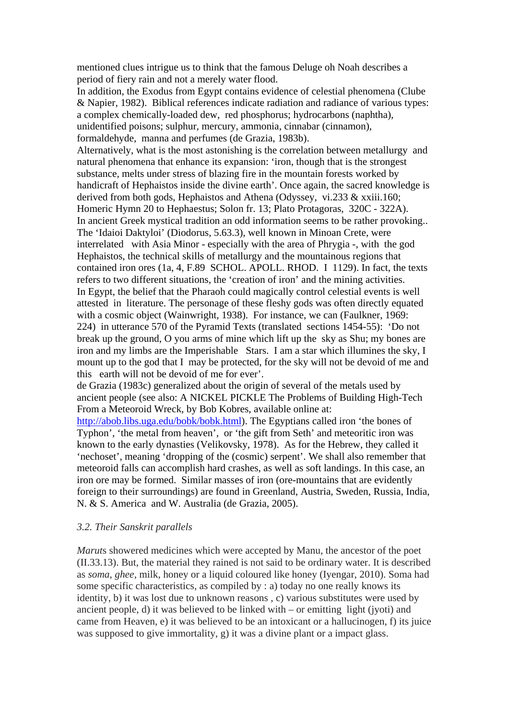mentioned clues intrigue us to think that the famous Deluge oh Noah describes a period of fiery rain and not a merely water flood.

In addition, the Exodus from Egypt contains evidence of celestial phenomena (Clube & Napier, 1982). Biblical references indicate radiation and radiance of various types: a complex chemically-loaded dew, red phosphorus; hydrocarbons (naphtha), unidentified poisons; sulphur, mercury, ammonia, cinnabar (cinnamon), formaldehyde, manna and perfumes (de Grazia, 1983b).

Alternatively, what is the most astonishing is the correlation between metallurgy and natural phenomena that enhance its expansion: 'iron, though that is the strongest substance, melts under stress of blazing fire in the mountain forests worked by handicraft of Hephaistos inside the divine earth'. Once again, the sacred knowledge is derived from both gods, Hephaistos and Athena (Odyssey, vi.233 & xxiii.160; Homeric Hymn 20 to Hephaestus; Solon fr. 13; Plato Protagoras, 320C - 322A). In ancient Greek mystical tradition an odd information seems to be rather provoking.. The 'Idaioi Daktyloi' (Diodorus, 5.63.3), well known in Minoan Crete, were interrelated with Asia Minor - especially with the area of Phrygia -, with the god Hephaistos, the technical skills of metallurgy and the mountainous regions that contained iron ores (1a, 4, F.89 SCHOL. APOLL. RHOD. I 1129). In fact, the texts refers to two different situations, the 'creation of iron' and the mining activities. In Egypt, the belief that the Pharaoh could magically control celestial events is well attested in literature. The personage of these fleshy gods was often directly equated with a cosmic object (Wainwright, 1938). For instance, we can (Faulkner, 1969: 224) in utterance 570 of the Pyramid Texts (translated sections 1454-55): 'Do not break up the ground, O you arms of mine which lift up the sky as Shu; my bones are iron and my limbs are the Imperishable Stars. I am a star which illumines the sky, I mount up to the god that I may be protected, for the sky will not be devoid of me and this earth will not be devoid of me for ever'.

de Grazia (1983c) generalized about the origin of several of the metals used by ancient people (see also: A NICKEL PICKLE The Problems of Building High-Tech From a Meteoroid Wreck, by Bob Kobres, available online at:

[http://abob.libs.uga.edu/bobk/bobk.html\)](http://abob.libs.uga.edu/bobk/bobk.html). The Egyptians called iron 'the bones of Typhon', 'the metal from heaven', or 'the gift from Seth' and meteoritic iron was known to the early dynasties (Velikovsky, 1978). As for the Hebrew, they called it 'nechoset', meaning 'dropping of the (cosmic) serpent'. We shall also remember that meteoroid falls can accomplish hard crashes, as well as soft landings. In this case, an iron ore may be formed. Similar masses of iron (ore-mountains that are evidently foreign to their surroundings) are found in Greenland, Austria, Sweden, Russia, India, N. & S. America and W. Australia (de Grazia, 2005).

### *3.2. Their Sanskrit parallels*

*Marut*s showered medicines which were accepted by Manu, the ancestor of the poet (II.33.13). But, the material they rained is not said to be ordinary water. It is described as *soma, ghee*, milk, honey or a liquid coloured like honey (Iyengar, 2010). Soma had some specific characteristics, as compiled by : a) today no one really knows its identity, b) it was lost due to unknown reasons , c) various substitutes were used by ancient people, d) it was believed to be linked with – or emitting light (jyoti) and came from Heaven, e) it was believed to be an intoxicant or a hallucinogen, f) its juice was supposed to give immortality, g) it was a divine plant or a impact glass.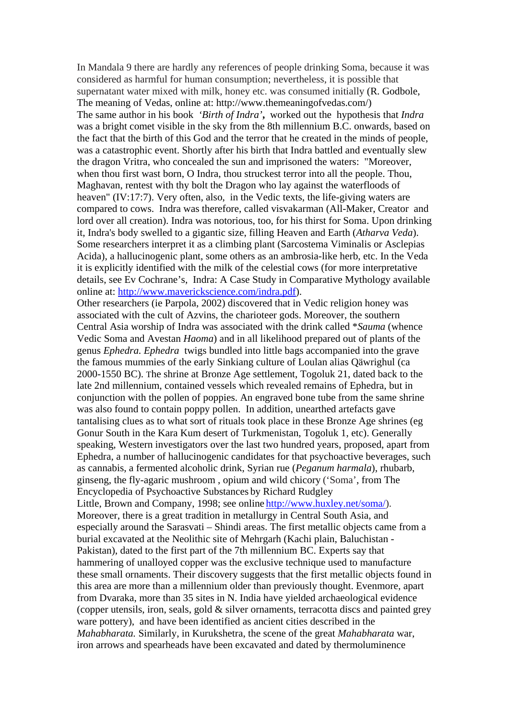In Mandala 9 there are hardly any references of people drinking Soma, because it was considered as harmful for human consumption; nevertheless, it is possible that supernatant water mixed with milk, honey etc. was consumed initially (R. Godbole, The meaning of Vedas, online at: http://www.themeaningofvedas.com/) The same author in his book *'Birth of Indra'***,** worked out the hypothesis that *Indra*  was a bright comet visible in the sky from the 8th millennium B.C. onwards, based on the fact that the birth of this God and the terror that he created in the minds of people, was a catastrophic event. Shortly after his birth that Indra battled and eventually slew the dragon Vritra, who concealed the sun and imprisoned the waters: "Moreover, when thou first wast born, O Indra, thou struckest terror into all the people. Thou, Maghavan, rentest with thy bolt the Dragon who lay against the waterfloods of heaven" (IV:17:7). Very often, also, in the Vedic texts, the life-giving waters are compared to cows. Indra was therefore, called visvakarman (All-Maker, Creator and lord over all creation). Indra was notorious, too, for his thirst for Soma. Upon drinking it, Indra's body swelled to a gigantic size, filling Heaven and Earth (*Atharva Veda*). Some researchers interpret it as a climbing plant (Sarcostema Viminalis or Asclepias Acida), a hallucinogenic plant, some others as an ambrosia-like herb, etc. In the Veda it is explicitly identified with the milk of the celestial cows (for more interpretative details, see Ev Cochrane's, Indra: A Case Study in Comparative Mythology available online at: [http://www.maverickscience.com/indra.pdf\)](http://www.maverickscience.com/indra.pdf).

Other researchers (ie Parpola, 2002) discovered that in Vedic religion honey was associated with the cult of Azvins, the charioteer gods. Moreover, the southern Central Asia worship of Indra was associated with the drink called \**Sauma* (whence Vedic Soma and Avestan *Haoma*) and in all likelihood prepared out of plants of the genus *Ephedra. Ephedra* twigs bundled into little bags accompanied into the grave the famous mummies of the early Sinkiang culture of Loulan alias Qäwrighul (ca 2000-1550 BC). The shrine at Bronze Age settlement, Togoluk 21, dated back to the late 2nd millennium, contained vessels which revealed remains of Ephedra, but in conjunction with the pollen of poppies. An engraved bone tube from the same shrine was also found to contain poppy pollen. In addition, unearthed artefacts gave tantalising clues as to what sort of rituals took place in these Bronze Age shrines (eg Gonur South in the Kara Kum desert of Turkmenistan, Togoluk 1, etc). Generally speaking, Western investigators over the last two hundred years, proposed, apart from Ephedra, a number of hallucinogenic candidates for that psychoactive beverages, such as cannabis, a fermented alcoholic drink, Syrian rue (*Peganum harmala*), rhubarb, ginseng, the fly-agaric mushroom , opium and wild chicory ('Soma', from The Encyclopedia of Psychoactive Substances by Richard Rudgley Little, Brown and Company, 1998; see online [http://www.huxley.net/soma/\)](http://www.huxley.net/soma/).

Moreover, there is a great tradition in metallurgy in Central South Asia, and especially around the Sarasvati – Shindi areas. The first metallic objects came from a burial excavated at the Neolithic site of Mehrgarh (Kachi plain, Baluchistan - Pakistan), dated to the first part of the 7th millennium BC. Experts say that hammering of unalloyed copper was the exclusive technique used to manufacture these small ornaments. Their discovery suggests that the first metallic objects found in this area are more than a millennium older than previously thought. Evenmore, apart from Dvaraka, more than 35 sites in N. India have yielded archaeological evidence (copper utensils, iron, seals, gold & silver ornaments, terracotta discs and painted grey ware pottery), and have been identified as ancient cities described in the *Mahabharata.* Similarly, in Kurukshetra, the scene of the great *Mahabharata* war, iron arrows and spearheads have been excavated and dated by thermoluminence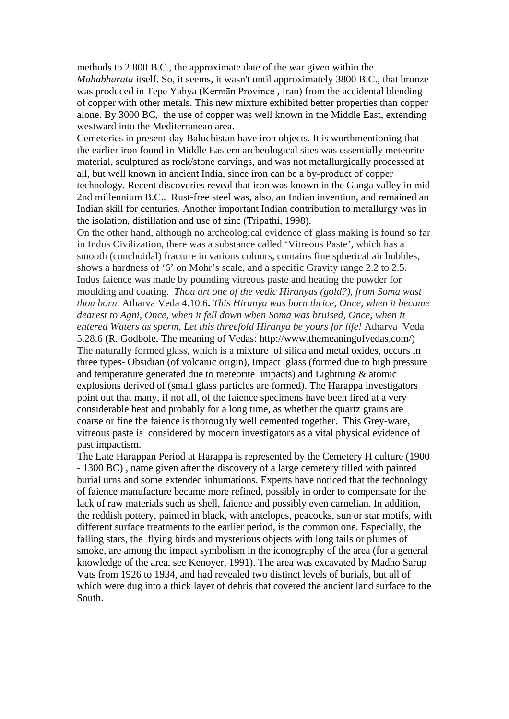methods to 2.800 B.C., the approximate date of the war given within the *Mahabharata* itself. So, it seems, it wasn't until approximately 3800 B.C., that bronze was produced in Tepe Yahya (Kermān Province , Iran) from the accidental blending of copper with other metals. This new mixture exhibited better properties than copper alone. By 3000 BC, the use of copper was well known in the Middle East, extending westward into the Mediterranean area.

Cemeteries in present-day Baluchistan have iron objects. It is worthmentioning that the earlier iron found in Middle Eastern archeological sites was essentially meteorite material, sculptured as rock/stone carvings, and was not metallurgically processed at all, but well known in ancient India, since iron can be a by-product of copper technology. Recent discoveries reveal that iron was known in the Ganga valley in mid 2nd millennium B.C.. Rust-free steel was, also, an Indian invention, and remained an Indian skill for centuries. Another important Indian contribution to metallurgy was in the isolation, distillation and use of zinc (Tripathi, 1998).

On the other hand, although no archeological evidence of glass making is found so far in Indus Civilization, there was a substance called 'Vitreous Paste', which has a smooth (conchoidal) fracture in various colours, contains fine spherical air bubbles, shows a hardness of '6' on Mohr's scale, and a specific Gravity range 2.2 to 2.5. Indus faience was made by pounding vitreous paste and heating the powder for moulding and coating.*Thou art one of the vedic Hiranyas (gold?), from Soma wast thou born.* Atharva Veda 4.10.6**.** *This Hiranya was born thrice, Once, when it became dearest to Agni, Once, when it fell down when Soma was bruised, Once, when it entered Waters as sperm, Let this threefold Hiranya be yours for life!* Atharva Veda 5.28.6 (R. Godbole, The meaning of Vedas: http://www.themeaningofvedas.com/) The naturally formed glass, which is a mixture of silica and metal oxides, occurs in three types- Obsidian (of volcanic origin), Impact glass (formed due to high pressure and temperature generated due to meteorite impacts) and Lightning & atomic explosions derived of (small glass particles are formed). The Harappa investigators point out that many, if not all, of the faience specimens have been fired at a very considerable heat and probably for a long time, as whether the quartz grains are coarse or fine the faience is thoroughly well cemented together. This Grey-ware, vitreous paste is considered by modern investigators as a vital physical evidence of past impactism.

The Late Harappan Period at Harappa is represented by the Cemetery H culture (1900 - 1300 BC) , name given after the discovery of a large cemetery filled with painted burial urns and some extended inhumations. Experts have noticed that the technology of faience manufacture became more refined, possibly in order to compensate for the lack of raw materials such as shell, faience and possibly even carnelian. In addition, the reddish pottery, painted in black, with antelopes, peacocks, sun or star motifs, with different surface treatments to the earlier period, is the common one. Especially, the falling stars, the flying birds and mysterious objects with long tails or plumes of smoke, are among the impact symbolism in the iconography of the area (for a general knowledge of the area, see Kenoyer, 1991). The area was excavated by Madho Sarup Vats from 1926 to 1934, and had revealed two distinct levels of burials, but all of which were dug into a thick layer of debris that covered the ancient land surface to the South.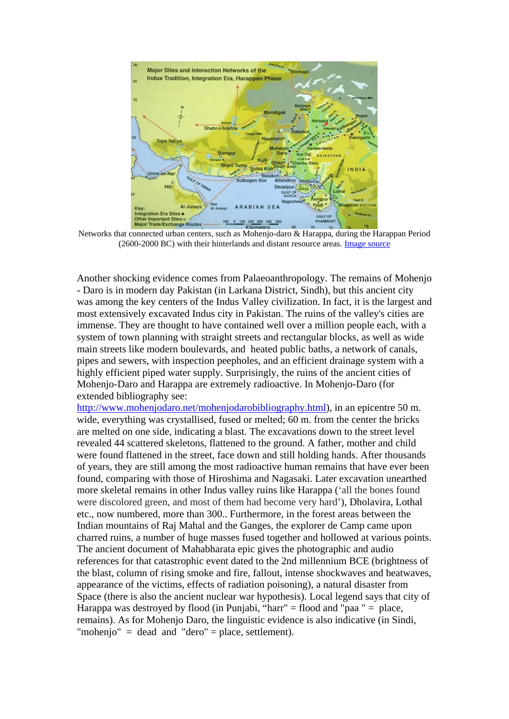

Networks that connected urban centers, such as Mohenjo-daro & Harappa, during the Harappan Period (2600-2000 BC) with their hinterlands and distant resource areas. [Image source](http://www.harappa.com/indus2/161.htmll)

Another shocking evidence comes from Palaeoanthropology. The remains of Mohenjo - Daro is in modern day Pakistan (in Larkana District, Sindh), but this ancient city was among the key centers of the Indus Valley civilization. In fact, it is the largest and most extensively excavated Indus city in Pakistan. The ruins of the valley's cities are immense. They are thought to have contained well over a million people each, with a system of town planning with straight streets and rectangular blocks, as well as wide main streets like modern boulevards, and heated public baths, a network of canals, pipes and sewers, with inspection peepholes, and an efficient drainage system with a highly efficient piped water supply. Surprisingly, the ruins of the ancient cities of Mohenjo-Daro and Harappa are extremely radioactive. In Mohenjo-Daro (for extended bibliography see:

[http://www.mohenjodaro.net/mohenjodarobibliography.html\)](http://www.mohenjodaro.net/mohenjodarobibliography.html), in an epicentre 50 m. wide, everything was crystallised, fused or melted; 60 m. from the center the bricks are melted on one side, indicating a blast. The excavations down to the street level revealed 44 scattered skeletons, flattened to the ground. A father, mother and child were found flattened in the street, face down and still holding hands. After thousands of years, they are still among the most radioactive human remains that have ever been found, comparing with those of Hiroshima and Nagasaki. Later excavation unearthed more skeletal remains in other Indus valley ruins like Harappa ('all the bones found were discolored green, and most of them had become very hard'), Dholavira, Lothal etc., now numbered, more than 300.. Furthermore, in the forest areas between the Indian mountains of Raj Mahal and the Ganges, the explorer de Camp came upon charred ruins, a number of huge masses fused together and hollowed at various points. The ancient document of Mahabharata epic gives the photographic and audio references for that catastrophic event dated to the 2nd millennium BCE (brightness of the blast, column of rising smoke and fire, fallout, intense shockwaves and heatwaves, appearance of the victims, effects of radiation poisoning), a natural disaster from Space (there is also the ancient nuclear war hypothesis). Local legend says that city of Harappa was destroyed by flood (in Punjabi, "harr" = flood and "paa " = place, remains). As for Mohenjo Daro, the linguistic evidence is also indicative (in Sindi, "mohenjo" = dead and "dero" = place, settlement).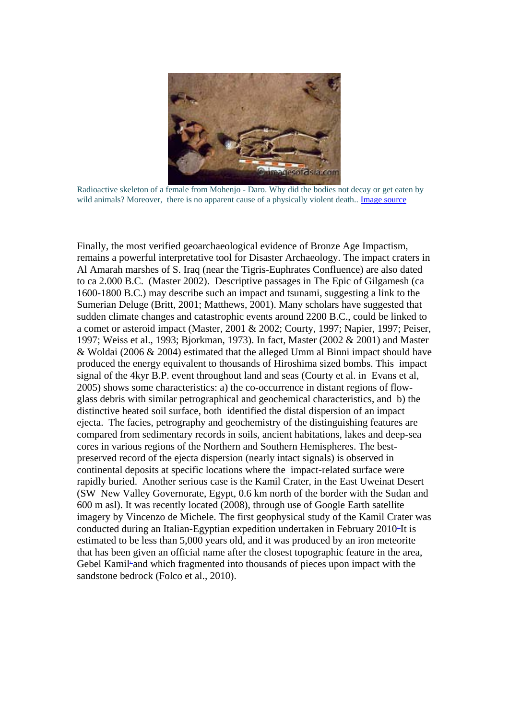

Radioactive skeleton of a female from Mohenjo - Daro. Why did the bodies not decay or get eaten by wild animals? Moreover, there is no apparent cause of a physically violent death.. [Image source](http://twitscope.wordpress.com/2008/07/12/evidence-of-nuclear-explosion-in-ancient-india/)

Finally, the most verified geoarchaeological evidence of Bronze Age Impactism, remains a powerful interpretative tool for Disaster Archaeology. The impact craters in Al Amarah marshes of S. Iraq (near the Tigris-Euphrates Confluence) are also dated to ca 2.000 B.C. (Master 2002). Descriptive passages in The Epic of Gilgamesh (ca 1600-1800 B.C.) may describe such an impact and tsunami, suggesting a link to the Sumerian Deluge (Britt, 2001; Matthews, 2001). Many scholars have suggested that sudden climate changes and catastrophic events around 2200 B.C., could be linked to a comet or asteroid impact (Master, 2001 & 2002; Courty, 1997; Napier, 1997; Peiser, 1997; Weiss et al., 1993; Bjorkman, 1973). In fact, Master (2002 & 2001) and Master & Woldai (2006 & 2004) estimated that the alleged Umm al Binni impact should have produced the energy equivalent to thousands of Hiroshima sized bombs. This impact signal of the 4kyr B.P. event throughout land and seas (Courty et al. in Evans et al, 2005) shows some characteristics: a) the co-occurrence in distant regions of flowglass debris with similar petrographical and geochemical characteristics, and b) the distinctive heated soil surface, both identified the distal dispersion of an impact ejecta. The facies, petrography and geochemistry of the distinguishing features are compared from sedimentary records in soils, ancient habitations, lakes and deep-sea cores in various regions of the Northern and Southern Hemispheres. The bestpreserved record of the ejecta dispersion (nearly intact signals) is observed in continental deposits at specific locations where the impact-related surface were rapidly buried. Another serious case is the Kamil Crater, in the East Uweinat Desert (SW New Valley Governorate, Egypt, 0.6 km north of the border with the Sudan and 600 m asl). It was recently located (2008), through use of Google Earth satellite imagery by Vincenzo de Michele. The first geophysical study of the Kamil Crater was conducted during an Italian-Egyptian expedition undertaken in February 2010<sup>-It</sup> is estimated to be less than 5,000 years old, and it was produced by an iron meteorite that has been given an official name after the closest topographic feature in the area, Gebel Kamil<sup>-</sup> and which fragmented into thousands of pieces upon impact with the sandstone bedrock (Folco et al., 2010).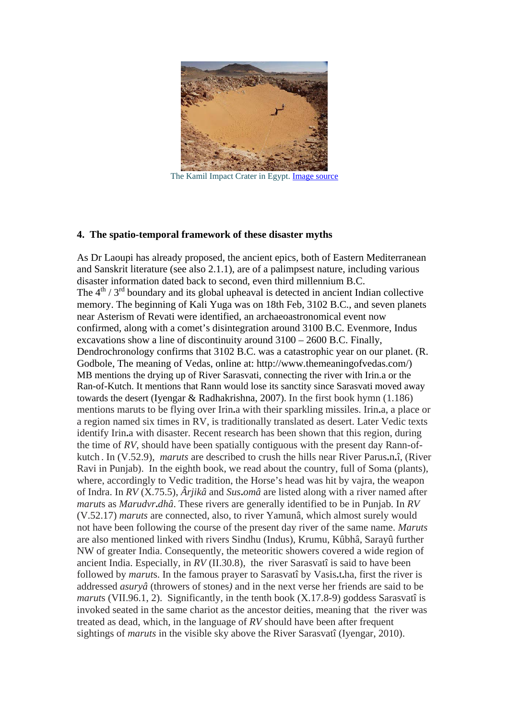

The Kamil Impact Crater in Egypt. [Image source](http://remanzacco.blogspot.com/2010/07/kamil-impact-crater-in-egypt.html)

#### **4. The spatio-temporal framework of these disaster myths**

As Dr Laoupi has already proposed, the ancient epics, both of Eastern Mediterranean and Sanskrit literature (see also 2.1.1), are of a palimpsest nature, including various disaster information dated back to second, even third millennium B.C. The  $4<sup>th</sup> / 3<sup>rd</sup>$  boundary and its global upheaval is detected in ancient Indian collective memory. The beginning of Kali Yuga was on 18th Feb, 3102 B.C., and seven planets near Asterism of Revati were identified, an archaeoastronomical event now confirmed, along with a comet's disintegration around 3100 B.C. Evenmore, Indus excavations show a line of discontinuity around 3100 – 2600 B.C. Finally, Dendrochronology confirms that 3102 B.C. was a catastrophic year on our planet. (R. Godbole, The meaning of Vedas, online at: http://www.themeaningofvedas.com/) MB mentions the drying up of River Sarasvati, connecting the river with Irin.a or the Ran-of-Kutch. It mentions that Rann would lose its sanctity since Sarasvati moved away towards the desert (Iyengar & Radhakrishna, 2007). In the first book hymn (1.186) mentions maruts to be flying over Irin**.**a with their sparkling missiles. Irin**.**a, a place or a region named six times in RV, is traditionally translated as desert. Later Vedic texts identify Irin**.**a with disaster. Recent research has been shown that this region, during the time of *RV*, should have been spatially contiguous with the present day Rann-ofkutch . In (V.52.9), *maruts* are described to crush the hills near River Parus**.**n**.**î, (River Ravi in Punjab). In the eighth book, we read about the country, full of Soma (plants), where, accordingly to Vedic tradition, the Horse's head was hit by vajra, the weapon of Indra. In *RV* (X.75.5), *Ârjikâ* and *Sus***.***omâ* are listed along with a river named after *marut*s as *Marudvr***.***dhâ*. These rivers are generally identified to be in Punjab. In *RV*  (V.52.17) *maruts* are connected, also, to river Yamunâ, which almost surely would not have been following the course of the present day river of the same name. *Maruts*  are also mentioned linked with rivers Sindhu (Indus), Krumu, Kûbhâ, Sarayû further NW of greater India. Consequently, the meteoritic showers covered a wide region of ancient India. Especially, in *RV* (II.30.8), the river Sarasvatî is said to have been followed by *marut*s. In the famous prayer to Sarasvatî by Vasis**.**t**.**ha, first the river is addressed *asuryâ* (throwers of stones*)* and in the next verse her friends are said to be *marut*s (VII.96.1, 2). Significantly, in the tenth book (X.17.8-9) goddess Sarasvatî is invoked seated in the same chariot as the ancestor deities, meaning that the river was treated as dead, which, in the language of *RV* should have been after frequent sightings of *maruts* in the visible sky above the River Sarasvatî (Iyengar, 2010).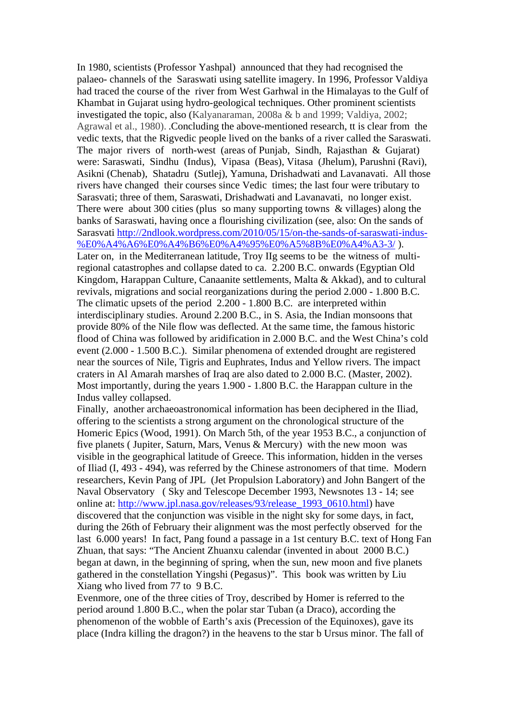In 1980, scientists (Professor Yashpal) announced that they had recognised the palaeo- channels of the Saraswati using satellite imagery. In 1996, Professor Valdiya had traced the course of the river from West Garhwal in the Himalayas to the Gulf of Khambat in Gujarat using hydro-geological techniques. Other prominent scientists investigated the topic, also (Kalyanaraman, 2008a & b and 1999; Valdiya, 2002; Agrawal et al., 1980). .Concluding the above-mentioned research, tt is clear from the vedic texts, that the Rigvedic people lived on the banks of a river called the Saraswati. The major rivers of north-west (areas of Punjab, Sindh, Rajasthan & Gujarat) were: Saraswati, Sindhu (Indus), Vipasa (Beas), Vitasa (Jhelum), Parushni (Ravi), Asikni (Chenab), Shatadru (Sutlej), Yamuna, Drishadwati and Lavanavati. All those rivers have changed their courses since Vedic times; the last four were tributary to Sarasvati; three of them, Saraswati, Drishadwati and Lavanavati, no longer exist. There were about 300 cities (plus so many supporting towns & villages) along the banks of Saraswati, having once a flourishing civilization (see, also: On the sands of Sarasvati [http://2ndlook.wordpress.com/2010/05/15/on-the-sands-of-saraswati-indus-](http://2ndlook.wordpress.com/2010/05/15/on-the-sands-of-saraswati-indus-%E0%A4%A6%E0%A4%B6%E0%A4%95%E0%A5%8B%E0%A4%A3-3/) [%E0%A4%A6%E0%A4%B6%E0%A4%95%E0%A5%8B%E0%A4%A3-3/](http://2ndlook.wordpress.com/2010/05/15/on-the-sands-of-saraswati-indus-%E0%A4%A6%E0%A4%B6%E0%A4%95%E0%A5%8B%E0%A4%A3-3/) ). Later on, in the Mediterranean latitude, Troy IIg seems to be the witness of multiregional catastrophes and collapse dated to ca. 2.200 B.C. onwards (Egyptian Old Kingdom, Harappan Culture, Canaanite settlements, Malta & Akkad), and to cultural revivals, migrations and social reorganizations during the period 2.000 - 1.800 B.C. The climatic upsets of the period 2.200 - 1.800 B.C. are interpreted within interdisciplinary studies. Around 2.200 B.C., in S. Asia, the Indian monsoons that provide 80% of the Nile flow was deflected. At the same time, the famous historic flood of China was followed by aridification in 2.000 B.C. and the West China's cold event (2.000 - 1.500 B.C.). Similar phenomena of extended drought are registered near the sources of Nile, Tigris and Euphrates, Indus and Yellow rivers. The impact craters in Al Amarah marshes of Iraq are also dated to 2.000 B.C. (Master, 2002). Most importantly, during the years 1.900 - 1.800 B.C. the Harappan culture in the Indus valley collapsed.

Finally, another archaeoastronomical information has been deciphered in the Iliad, offering to the scientists a strong argument on the chronological structure of the Homeric Epics (Wood, 1991). On March 5th, of the year 1953 B.C., a conjunction of five planets ( Jupiter, Saturn, Mars, Venus & Mercury) with the new moon was visible in the geographical latitude of Greece. This information, hidden in the verses of Iliad (I, 493 - 494), was referred by the Chinese astronomers of that time. Modern researchers, Kevin Pang of JPL (Jet Propulsion Laboratory) and John Bangert of the Naval Observatory ( Sky and Telescope December 1993, Newsnotes 13 - 14; see online at: [http://www.jpl.nasa.gov/releases/93/release\\_1993\\_0610.html\)](http://www.jpl.nasa.gov/releases/93/release_1993_0610.html) have discovered that the conjunction was visible in the night sky for some days, in fact, during the 26th of February their alignment was the most perfectly observed for the last 6.000 years! In fact, Pang found a passage in a 1st century B.C. text of Hong Fan Zhuan, that says: "The Ancient Zhuanxu calendar (invented in about 2000 B.C.) began at dawn, in the beginning of spring, when the sun, new moon and five planets gathered in the constellation Yingshi (Pegasus)". This book was written by Liu Xiang who lived from 77 to 9 B.C.

Evenmore, one of the three cities of Troy, described by Homer is referred to the period around 1.800 B.C., when the polar star Tuban (a Draco), according the phenomenon of the wobble of Earth's axis (Precession of the Equinoxes), gave its place (Indra killing the dragon?) in the heavens to the star b Ursus minor. The fall of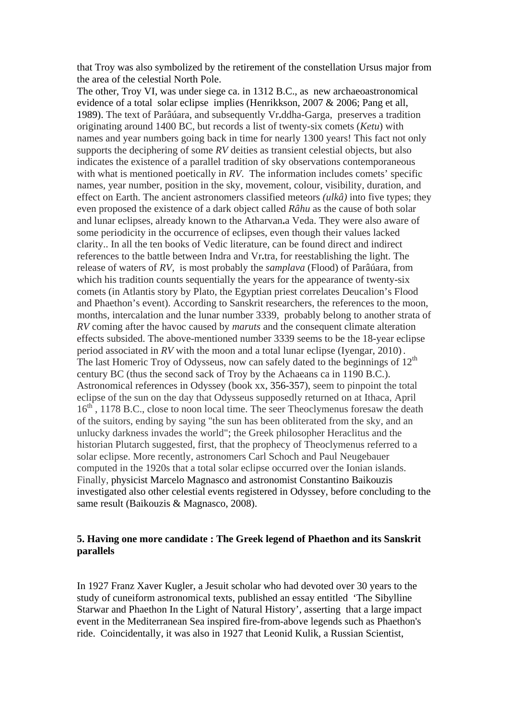that Troy was also symbolized by the retirement of the constellation Ursus major from the area of the celestial North Pole.

The other, Troy VI, was under siege ca. in 1312 B.C., as new archaeoastronomical evidence of a total solar eclipse implies (Henrikkson, 2007 & 2006; Pang et all, 1989). The text of Parâúara, and subsequently Vr**.**ddha-Garga, preserves a tradition originating around 1400 BC, but records a list of twenty-six comets (*Ketu*) with names and year numbers going back in time for nearly 1300 years! This fact not only supports the deciphering of some *RV* deities as transient celestial objects, but also indicates the existence of a parallel tradition of sky observations contemporaneous with what is mentioned poetically in *RV*. The information includes comets' specific names, year number, position in the sky, movement, colour, visibility, duration, and effect on Earth. The ancient astronomers classified meteors *(ulkâ)* into five types; they even proposed the existence of a dark object called *Râhu* as the cause of both solar and lunar eclipses, already known to the Atharvan**.**a Veda. They were also aware of some periodicity in the occurrence of eclipses, even though their values lacked clarity.. In all the ten books of Vedic literature, can be found direct and indirect references to the battle between Indra and Vr**.**tra, for reestablishing the light. The release of waters of *RV,* is most probably the *samplava* (Flood) of Parâúara, from which his tradition counts sequentially the years for the appearance of twenty-six comets (in Atlantis story by Plato, the Egyptian priest correlates Deucalion's Flood and Phaethon's event). According to Sanskrit researchers, the references to the moon, months, intercalation and the lunar number 3339, probably belong to another strata of *RV* coming after the havoc caused by *maruts* and the consequent climate alteration effects subsided. The above-mentioned number 3339 seems to be the 18-year eclipse period associated in *RV* with the moon and a total lunar eclipse (Iyengar, 2010). The last Homeric Troy of Odysseus, now can safely dated to the beginnings of  $12<sup>th</sup>$ century BC (thus the second sack of Troy by the Achaeans ca in 1190 B.C.). Astronomical references in Odyssey (book xx, 356-357), seem to pinpoint the total eclipse of the sun on the day that Odysseus supposedly returned on at Ithaca, April 16<sup>th</sup>, 1178 B.C., close to noon local time. The seer Theoclymenus foresaw the death of the suitors, ending by saying "the sun has been obliterated from the sky, and an unlucky darkness invades the world"; the Greek philosopher Heraclitus and the historian Plutarch suggested, first, that the prophecy of Theoclymenus referred to a solar eclipse. More recently, astronomers Carl Schoch and Paul Neugebauer computed in the 1920s that a total solar eclipse occurred over the Ionian islands. Finally, physicist Marcelo Magnasco and astronomist Constantino Baikouzis investigated also other celestial events registered in Odyssey, before concluding to the same result (Baikouzis & Magnasco, 2008).

## **5. Having one more candidate : The Greek legend of Phaethon and its Sanskrit parallels**

In 1927 Franz Xaver Kugler, a Jesuit scholar who had devoted over 30 years to the study of cuneiform astronomical texts, published an essay entitled 'The Sibylline Starwar and Phaethon In the Light of Natural History', asserting that a large impact event in the Mediterranean Sea inspired fire-from-above legends such as Phaethon's ride. Coincidentally, it was also in 1927 that Leonid Kulik, a Russian Scientist,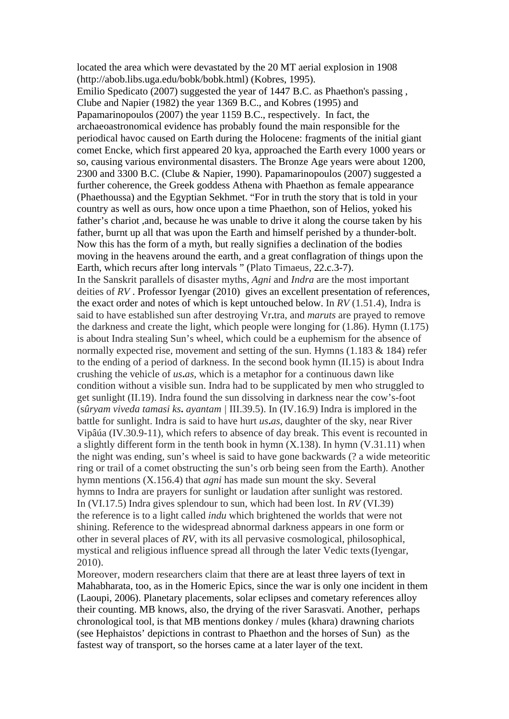located the area which were devastated by the 20 MT aerial explosion in 1908 (http://abob.libs.uga.edu/bobk/bobk.html) (Kobres, 1995). Emilio Spedicato (2007) suggested the year of 1447 B.C. as Phaethon's passing , Clube and Napier (1982) the year 1369 B.C., and Kobres (1995) and Papamarinopoulos (2007) the year 1159 B.C., respectively. In fact, the archaeoastronomical evidence has probably found the main responsible for the periodical havoc caused on Earth during the Holocene: fragments of the initial giant comet Encke, which first appeared 20 kya, approached the Earth every 1000 years or so, causing various environmental disasters. The Bronze Age years were about 1200, 2300 and 3300 B.C. (Clube & Napier, 1990). Papamarinopoulos (2007) suggested a further coherence, the Greek goddess Athena with Phaethon as female appearance (Phaethoussa) and the Egyptian Sekhmet. "For in truth the story that is told in your country as well as ours, how once upon a time Phaethon, son of Helios, yoked his father's chariot ,and, because he was unable to drive it along the course taken by his father, burnt up all that was upon the Earth and himself perished by a thunder-bolt. Now this has the form of a myth, but really signifies a declination of the bodies moving in the heavens around the earth, and a great conflagration of things upon the Earth, which recurs after long intervals " (Plato Timaeus, 22.c.3-7). In the Sanskrit parallels of disaster myths, *Agni* and *Indra* are the most important deities of RV. Professor Iyengar (2010) gives an excellent presentation of references, the exact order and notes of which is kept untouched below. In *RV* (1.51.4), Indra is said to have established sun after destroying Vr**.**tra, and *maruts* are prayed to remove the darkness and create the light, which people were longing for (1.86). Hymn (I.175) is about Indra stealing Sun's wheel, which could be a euphemism for the absence of normally expected rise, movement and setting of the sun. Hymns (1.183 & 184) refer to the ending of a period of darkness. In the second book hymn (II.15) is about Indra crushing the vehicle of *us***.***as*, which is a metaphor for a continuous dawn like condition without a visible sun. Indra had to be supplicated by men who struggled to get sunlight (II.19). Indra found the sun dissolving in darkness near the cow's-foot (s*ûryam viveda tamasi ks***.** *ayantam |* III.39.5). In (IV.16.9) Indra is implored in the battle for sunlight. Indra is said to have hurt *us***.***as*, daughter of the sky, near River Vipâúa (IV.30.9-11), which refers to absence of day break. This event is recounted in a slightly different form in the tenth book in hymn (X.138). In hymn (V.31.11) when the night was ending, sun's wheel is said to have gone backwards (? a wide meteoritic ring or trail of a comet obstructing the sun's orb being seen from the Earth). Another hymn mentions (X.156.4) that *agni* has made sun mount the sky. Several hymns to Indra are prayers for sunlight or laudation after sunlight was restored. In (VI.17.5) Indra gives splendour to sun, which had been lost. In *RV* (VI.39) the reference is to a light called *indu* which brightened the worlds that were not shining. Reference to the widespread abnormal darkness appears in one form or other in several places of *RV*, with its all pervasive cosmological, philosophical, mystical and religious influence spread all through the later Vedic texts(Iyengar, 2010).

Moreover, modern researchers claim that there are at least three layers of text in Mahabharata, too, as in the Homeric Epics, since the war is only one incident in them (Laoupi, 2006). Planetary placements, solar eclipses and cometary references alloy their counting. MB knows, also, the drying of the river Sarasvati. Another, perhaps chronological tool, is that MB mentions donkey / mules (khara) drawning chariots (see Hephaistos' depictions in contrast to Phaethon and the horses of Sun) as the fastest way of transport, so the horses came at a later layer of the text.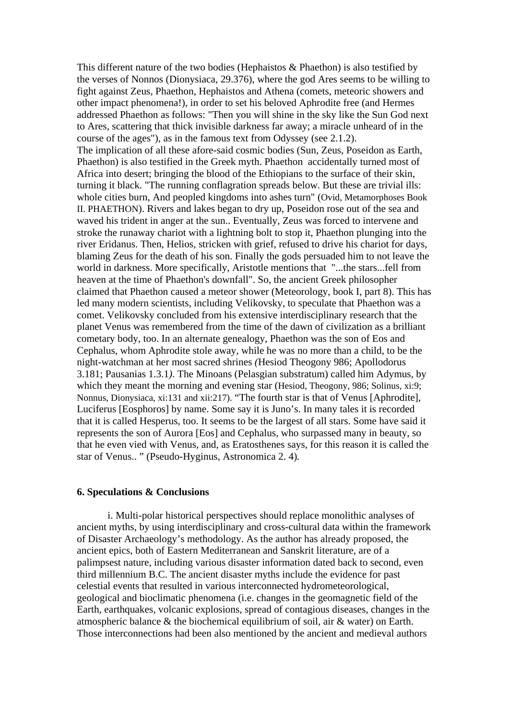This different nature of the two bodies (Hephaistos & Phaethon) is also testified by the verses of Nonnos (Dionysiaca, 29.376), where the god Ares seems to be willing to fight against Zeus, Phaethon, Hephaistos and Athena (comets, meteoric showers and other impact phenomena!), in order to set his beloved Aphrodite free (and Hermes addressed Phaethon as follows: "Then you will shine in the sky like the Sun God next to Ares, scattering that thick invisible darkness far away; a miracle unheard of in the course of the ages"), as in the famous text from Odyssey (see 2.1.2). The implication of all these afore-said cosmic bodies (Sun, Zeus, Poseidon as Earth, Phaethon) is also testified in the Greek myth. Phaethon accidentally turned most of Africa into desert; bringing the blood of the Ethiopians to the surface of their skin, turning it black. "The running conflagration spreads below. But these are trivial ills: whole cities burn, And peopled kingdoms into ashes turn" (Ovid, Metamorphoses Book II. PHAETHON). Rivers and lakes began to dry up, Poseidon rose out of the sea and waved his trident in anger at the sun.. Eventually, Zeus was forced to intervene and stroke the runaway chariot with a lightning bolt to stop it, Phaethon plunging into the river Eridanus. Then, Helios, stricken with grief, refused to drive his chariot for days, blaming Zeus for the death of his son. Finally the gods persuaded him to not leave the world in darkness. More specifically, Aristotle mentions that "...the stars...fell from heaven at the time of Phaethon's downfall". So, the ancient Greek philosopher claimed that Phaethon caused a meteor shower (Meteorology, book I, part 8). This has led many modern scientists, including Velikovsky, to speculate that Phaethon was a comet. Velikovsky concluded from his extensive interdisciplinary research that the planet Venus was remembered from the time of the dawn of civilization as a brilliant cometary body, too. In an alternate genealogy, Phaethon was the son of Eos and Cephalus, whom Aphrodite stole away, while he was no more than a child, to be the night-watchman at her most sacred shrines *(*Hesiod Theogony 986; Apollodorus 3.181; Pausanias 1.3.1*)*. The Minoans (Pelasgian substratum) called him Adymus, by which they meant the morning and evening star (Hesiod, Theogony, 986; Solinus, xi:9; Nonnus, Dionysiaca, xi:131 and xii:217). "The fourth star is that of Venus [Aphrodite], Luciferus [Eosphoros] by name. Some say it is Juno's. In many tales it is recorded that it is called Hesperus, too. It seems to be the largest of all stars. Some have said it represents the son of Aurora [Eos] and Cephalus, who surpassed many in beauty, so that he even vied with Venus, and, as Eratosthenes says, for this reason it is called the star of Venus.. " (Pseudo-Hyginus, Astronomica 2. 4)*.*

### **6. Speculations & Conclusions**

i. Multi-polar historical perspectives should replace monolithic analyses of ancient myths, by using interdisciplinary and cross-cultural data within the framework of Disaster Archaeology's methodology. As the author has already proposed, the ancient epics, both of Eastern Mediterranean and Sanskrit literature, are of a palimpsest nature, including various disaster information dated back to second, even third millennium B.C. The ancient disaster myths include the evidence for past celestial events that resulted in various interconnected hydrometeorological, geological and bioclimatic phenomena (i.e. changes in the geomagnetic field of the Earth, earthquakes, volcanic explosions, spread of contagious diseases, changes in the atmospheric balance & the biochemical equilibrium of soil, air & water) on Earth. Those interconnections had been also mentioned by the ancient and medieval authors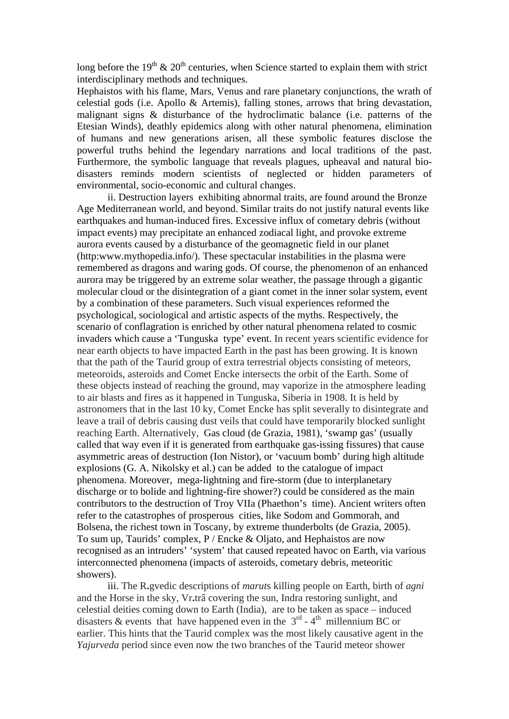long before the 19<sup>th</sup>  $\&$  20<sup>th</sup> centuries, when Science started to explain them with strict interdisciplinary methods and techniques.

Hephaistos with his flame, Mars, Venus and rare planetary conjunctions, the wrath of celestial gods (i.e. Apollo & Artemis), falling stones, arrows that bring devastation, malignant signs & disturbance of the hydroclimatic balance (i.e. patterns of the Etesian Winds), deathly epidemics along with other natural phenomena, elimination of humans and new generations arisen, all these symbolic features disclose the powerful truths behind the legendary narrations and local traditions of the past. Furthermore, the symbolic language that reveals plagues, upheaval and natural biodisasters reminds modern scientists of neglected or hidden parameters of environmental, socio-economic and cultural changes.

ii. Destruction layers exhibiting abnormal traits, are found around the Bronze Age Mediterranean world, and beyond. Similar traits do not justify natural events like earthquakes and human-induced fires. Excessive influx of cometary debris (without impact events) may precipitate an enhanced zodiacal light, and provoke extreme aurora events caused by a disturbance of the geomagnetic field in our planet (http:www.mythopedia.info/). These spectacular instabilities in the plasma were remembered as dragons and waring gods. Of course, the phenomenon of an enhanced aurora may be triggered by an extreme solar weather, the passage through a gigantic molecular cloud or the disintegration of a giant comet in the inner solar system, event by a combination of these parameters. Such visual experiences reformed the psychological, sociological and artistic aspects of the myths. Respectively, the scenario of conflagration is enriched by other natural phenomena related to cosmic invaders which cause a 'Tunguska type' event. In recent years scientific evidence for near earth objects to have impacted Earth in the past has been growing. It is known that the path of the Taurid group of extra terrestrial objects consisting of meteors, meteoroids, asteroids and Comet Encke intersects the orbit of the Earth. Some of these objects instead of reaching the ground, may vaporize in the atmosphere leading to air blasts and fires as it happened in Tunguska, Siberia in 1908. It is held by astronomers that in the last 10 ky, Comet Encke has split severally to disintegrate and leave a trail of debris causing dust veils that could have temporarily blocked sunlight reaching Earth. Alternatively, Gas cloud (de Grazia, 1981), 'swamp gas' (usually called that way even if it is generated from earthquake gas-issing fissures) that cause asymmetric areas of destruction (Ion Nistor), or 'vacuum bomb' during high altitude explosions (G. A. Nikolsky et al.) can be added to the catalogue of impact phenomena. Moreover, mega-lightning and fire-storm (due to interplanetary discharge or to bolide and lightning-fire shower?) could be considered as the main contributors to the destruction of Troy VIIa (Phaethon's time). Ancient writers often refer to the catastrophes of prosperous cities, like Sodom and Gommorah, and Bolsena, the richest town in Toscany, by extreme thunderbolts (de Grazia, 2005). To sum up, Taurids' complex, P / Encke & Oljato, and Hephaistos are now recognised as an intruders' 'system' that caused repeated havoc on Earth, via various interconnected phenomena (impacts of asteroids, cometary debris, meteoritic showers).

iii. The R**.**gvedic descriptions of *marut*s killing people on Earth, birth of *agni*  and the Horse in the sky, Vr**.**trâ covering the sun, Indra restoring sunlight, and celestial deities coming down to Earth (India), are to be taken as space – induced disasters & events that have happened even in the  $3<sup>rd</sup> - 4<sup>th</sup>$  millennium BC or earlier. This hints that the Taurid complex was the most likely causative agent in the *Yajurveda* period since even now the two branches of the Taurid meteor shower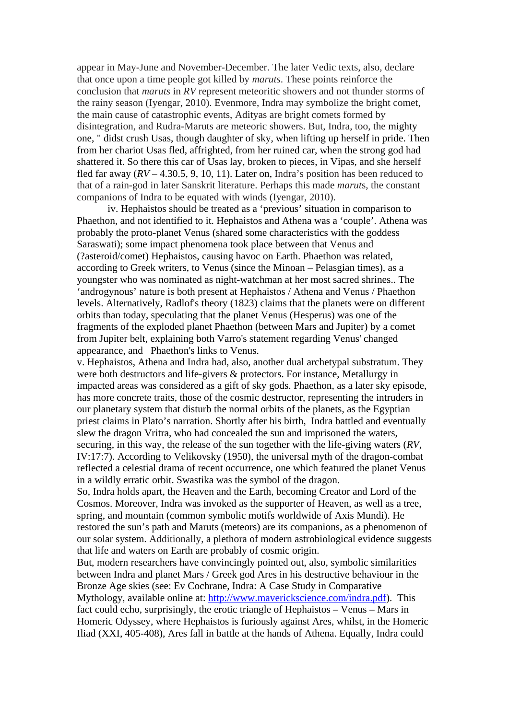appear in May-June and November-December. The later Vedic texts, also, declare that once upon a time people got killed by *maruts*. These points reinforce the conclusion that *maruts* in *RV* represent meteoritic showers and not thunder storms of the rainy season (Iyengar, 2010). Evenmore, Indra may symbolize the bright comet, the main cause of catastrophic events, Adityas are bright comets formed by disintegration, and Rudra-Maruts are meteoric showers. But, Indra, too, the mighty one, " didst crush Usas, though daughter of sky, when lifting up herself in pride. Then from her chariot Usas fled, affrighted, from her ruined car, when the strong god had shattered it. So there this car of Usas lay, broken to pieces, in Vipas, and she herself fled far away  $(RV - 4.30.5, 9, 10, 11)$ . Later on, Indra's position has been reduced to that of a rain-god in later Sanskrit literature. Perhaps this made *marut*s, the constant companions of Indra to be equated with winds (Iyengar, 2010).

iv. Hephaistos should be treated as a 'previous' situation in comparison to Phaethon, and not identified to it. Hephaistos and Athena was a 'couple'. Athena was probably the proto-planet Venus (shared some characteristics with the goddess Saraswati); some impact phenomena took place between that Venus and (?asteroid/comet) Hephaistos, causing havoc on Earth. Phaethon was related, according to Greek writers, to Venus (since the Minoan – Pelasgian times), as a youngster who was nominated as night-watchman at her most sacred shrines.. The 'androgynous' nature is both present at Hephaistos / Athena and Venus / Phaethon levels. Alternatively, Radlof's theory (1823) claims that the planets were on different orbits than today, speculating that the planet Venus (Hesperus) was one of the fragments of the exploded planet Phaethon (between Mars and Jupiter) by a comet from Jupiter belt, explaining both Varro's statement regarding Venus' changed appearance, and Phaethon's links to Venus.

v. Hephaistos, Athena and Indra had, also, another dual archetypal substratum. They were both destructors and life-givers & protectors. For instance, Metallurgy in impacted areas was considered as a gift of sky gods. Phaethon, as a later sky episode, has more concrete traits, those of the cosmic destructor, representing the intruders in our planetary system that disturb the normal orbits of the planets, as the Egyptian priest claims in Plato's narration. Shortly after his birth, Indra battled and eventually slew the dragon Vritra, who had concealed the sun and imprisoned the waters, securing, in this way, the release of the sun together with the life-giving waters (*RV*, IV:17:7). According to Velikovsky (1950), the universal myth of the dragon-combat reflected a celestial drama of recent occurrence, one which featured the planet Venus in a wildly erratic orbit. Swastika was the symbol of the dragon.

So, Indra holds apart, the Heaven and the Earth, becoming Creator and Lord of the Cosmos. Moreover, Indra was invoked as the supporter of Heaven, as well as a tree, spring, and mountain (common symbolic motifs worldwide of Axis Mundi). He restored the sun's path and Maruts (meteors) are its companions, as a phenomenon of our solar system. Additionally, a plethora of modern astrobiological evidence suggests that life and waters on Earth are probably of cosmic origin.

But, modern researchers have convincingly pointed out, also, symbolic similarities between Indra and planet Mars / Greek god Ares in his destructive behaviour in the Bronze Age skies (see: Ev Cochrane, Indra: A Case Study in Comparative Mythology, available online at: [http://www.maverickscience.com/indra.pdf\)](http://www.maverickscience.com/indra.pdf). This fact could echo, surprisingly, the erotic triangle of Hephaistos – Venus – Mars in Homeric Odyssey, where Hephaistos is furiously against Ares, whilst, in the Homeric Iliad (XXI, 405-408), Ares fall in battle at the hands of Athena. Equally, Indra could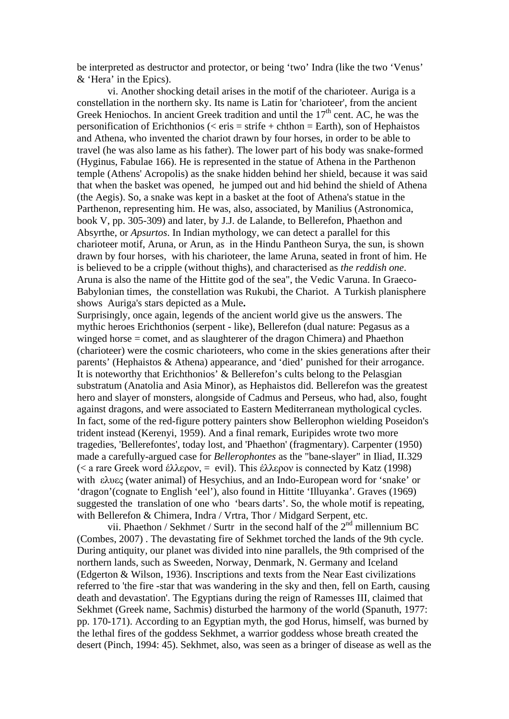be interpreted as destructor and protector, or being 'two' Indra (like the two 'Venus' & 'Hera' in the Epics).

vi. Another shocking detail arises in the motif of the charioteer. Auriga is a constellation in the northern sky. Its name is Latin for 'charioteer', from the ancient Greek Heniochos. In ancient Greek tradition and until the  $17<sup>th</sup>$  cent. AC, he was the personification of Erichthonios ( $\langle$  eris = strife + chthon = Earth), son of Hephaistos and Athena, who invented the chariot drawn by four horses, in order to be able to travel (he was also lame as his father). The lower part of his body was snake-formed (Hyginus, Fabulae 166). He is represented in the statue of Athena in the Parthenon temple (Athens' Acropolis) as the snake hidden behind her shield, because it was said that when the basket was opened, he jumped out and hid behind the shield of Athena (the Aegis). So, a snake was kept in a basket at the foot of Athena's statue in the Parthenon, representing him. He was, also, associated, by Manilius [\(Astronomica,](http://www.amazon.com/gp/redirect.html?ie=UTF8&location=http%3A%2F%2Fwww.amazon.com%2FManilius-Astronomica-Loeb-Classical-Library%2Fdp%2F0674995163&tag=constofstars-20&linkCode=ur2&camp=1789&creative=9325) book V, pp. 305-309) and later, by J.J. de Lalande, to Bellerefon, Phaethon and Absyrthe, or *Apsurtos*. In Indian mythology, we can detect a parallel for this charioteer motif, Aruna, or Arun, as in the Hindu Pantheon Surya, the sun, is shown drawn by four horses, with his charioteer, the lame Aruna, seated in front of him. He is believed to be a cripple (without thighs), and characterised as *the reddish one*. Aruna is also the name of the Hittite god of the sea", the Vedic Varuna. In Graeco-Babylonian times, the constellation was Rukubi, the Chariot. A Turkish planisphere shows Auriga's stars depicted as a Mule**.**

Surprisingly, once again, legends of the ancient world give us the answers. The mythic heroes Erichthonios (serpent - like), Bellerefon (dual nature: Pegasus as a winged horse = comet, and as slaughterer of the dragon Chimera) and Phaethon (charioteer) were the cosmic charioteers, who come in the skies generations after their parents' (Hephaistos & Athena) appearance, and 'died' punished for their arrogance. It is noteworthy that Erichthonios' & Bellerefon's cults belong to the Pelasgian substratum (Anatolia and Asia Minor), as Hephaistos did. Bellerefon was the greatest hero and slayer of monsters, alongside of Cadmus and Perseus, who had, also, fought against dragons, and were associated to Eastern Mediterranean mythological cycles. In fact, some of the red-figure pottery painters show Bellerophon wielding Poseidon's trident instead (Kerenyi, 1959). And a final remark, Euripides wrote two more tragedies, 'Bellerefontes', today lost, and 'Phaethon' (fragmentary). Carpenter (1950) made a carefully-argued case for *Bellerophontes* as the "bane-slayer" in Iliad, II.329 (< a rare Greek word έλλερον, = evil). This έλλερον is connected by Katz (1998) with ελυες (water animal) of Hesychius, and an Indo-European word for 'snake' or 'dragon'(cognate to English 'eel'), also found in Hittite 'Illuyanka'. Graves (1969) suggested the translation of one who 'bears darts'. So, the whole motif is repeating, with Bellerefon & Chimera, Indra / Vrtra, Thor / Midgard Serpent, etc.

vii. Phaethon / Sekhmet / Surtr in the second half of the 2<sup>nd</sup> millennium BC (Combes, 2007) . The devastating fire of Sekhmet torched the lands of the 9th cycle. During antiquity, our planet was divided into nine parallels, the 9th comprised of the northern lands, such as Sweeden, Norway, Denmark, N. Germany and Iceland (Edgerton & Wilson, 1936). Inscriptions and texts from the Near East civilizations referred to 'the fire -star that was wandering in the sky and then, fell on Earth, causing death and devastation'. The Egyptians during the reign of Ramesses III, claimed that Sekhmet (Greek name, Sachmis) disturbed the harmony of the world (Spanuth, 1977: pp. 170-171). According to an Egyptian myth, the god Horus, himself, was burned by the lethal fires of the goddess Sekhmet, a warrior goddess whose breath created the desert (Pinch, 1994: 45). Sekhmet, also, was seen as a bringer of disease as well as the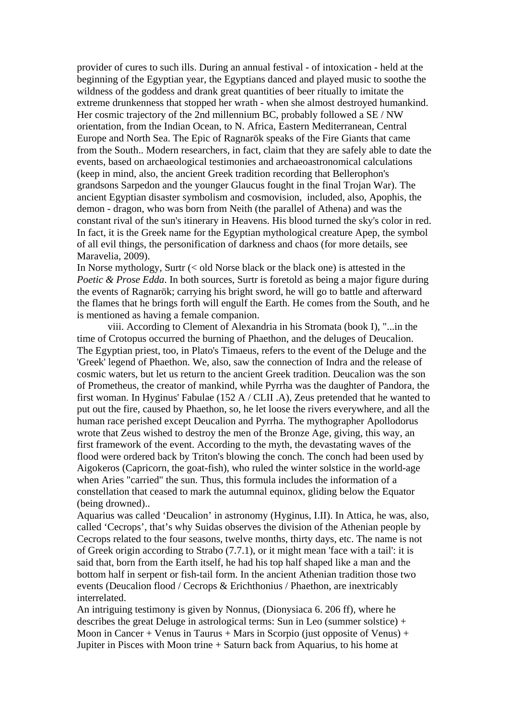provider of cures to such ills. During an annual festival - of intoxication - held at the beginning of the Egyptian year, the Egyptians danced and played music to soothe the wildness of the goddess and drank great quantities of beer ritually to imitate the extreme drunkenness that stopped her wrath - when she almost destroyed humankind. Her cosmic trajectory of the 2nd millennium BC, probably followed a SE / NW orientation, from the Indian Ocean, to N. Africa, Eastern Mediterranean, Central Europe and North Sea. The Epic of Ragnarök speaks of the Fire Giants that came from the South.. Modern researchers, in fact, claim that they are safely able to date the events, based on archaeological testimonies and archaeoastronomical calculations (keep in mind, also, the ancient Greek tradition recording that Bellerophon's grandsons Sarpedon and the younger Glaucus fought in the final Trojan War). The ancient Egyptian disaster symbolism and cosmovision, included, also, Apophis, the demon - dragon, who was born from Neith (the parallel of Athena) and was the constant rival of the sun's itinerary in Heavens. His blood turned the sky's color in red. In fact, it is the Greek name for the Egyptian mythological creature Apep, the symbol of all evil things, the personification of darkness and chaos (for more details, see Maravelia, 2009).

In Norse mythology, Surtr (< old Norse black or the black one) is attested in the *Poetic* & *Prose Edda*. In both sources, Surtr is foretold as being a major figure during the events of Ragnarök; carrying his bright sword, he will go to battle and afterward the flames that he brings forth will engulf the Earth. He comes from the South, and he is mentioned as having a female companion.

viii. According to Clement of Alexandria in his Stromata (book I), "...in the time of Crotopus occurred the burning of Phaethon, and the deluges of Deucalion. The Egyptian priest, too, in Plato's Timaeus, refers to the event of the Deluge and the 'Greek' legend of Phaethon. We, also, saw the connection of Indra and the release of cosmic waters, but let us return to the ancient Greek tradition. Deucalion was the son of Prometheus, the creator of mankind, while Pyrrha was the daughter of Pandora, the first woman. In Hyginus' Fabulae (152 A / CLII .A), Zeus pretended that he wanted to put out the fire, caused by Phaethon, so, he let loose the rivers everywhere, and all the human race perished except Deucalion and Pyrrha. The mythographer Apollodorus wrote that Zeus wished to destroy the men of the Bronze Age, giving, this way, an first framework of the event. According to the myth, the devastating waves of the flood were ordered back by Triton's blowing the conch. The conch had been used by Aigokeros (Capricorn, the goat-fish), who ruled the winter solstice in the world-age when Aries "carried" the sun. Thus, this formula includes the information of a constellation that ceased to mark the autumnal equinox, gliding below the Equator (being drowned)..

Aquarius was called 'Deucalion' in astronomy (Hyginus, I.II). In Attica, he was, also, called 'Cecrops', that's why Suidas observes the division of the Athenian people by Cecrops related to the four seasons, twelve months, thirty days, etc. The name is not of Greek origin according to Strabo (7.7.1), or it might mean 'face with a tail': it is said that, born from the Earth itself, he had his top half shaped like a man and the bottom half in serpent or fish-tail form. In the ancient Athenian tradition those two events (Deucalion flood / Cecrops & Erichthonius / Phaethon, are inextricably interrelated.

An intriguing testimony is given by Nonnus, (Dionysiaca 6. 206 ff)*,* where he describes the great Deluge in astrological terms: Sun in Leo (summer solstice) + Moon in Cancer + Venus in Taurus + Mars in Scorpio (just opposite of Venus) + Jupiter in Pisces with Moon trine + Saturn back from Aquarius, to his home at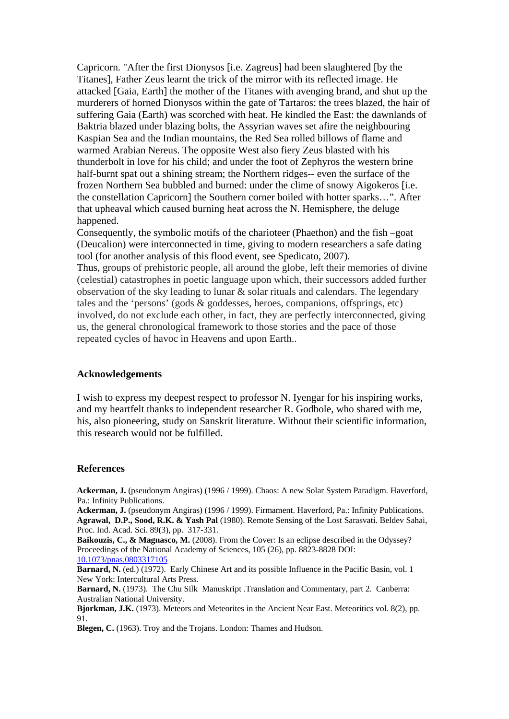Capricorn. "After the first Dionysos [i.e. Zagreus] had been slaughtered [by the Titanes], Father Zeus learnt the trick of the mirror with its reflected image. He attacked [Gaia, Earth] the mother of the Titanes with avenging brand, and shut up the murderers of horned Dionysos within the gate of Tartaros: the trees blazed, the hair of suffering Gaia (Earth) was scorched with heat. He kindled the East: the dawnlands of Baktria blazed under blazing bolts, the Assyrian waves set afire the neighbouring Kaspian Sea and the Indian mountains, the Red Sea rolled billows of flame and warmed Arabian Nereus. The opposite West also fiery Zeus blasted with his thunderbolt in love for his child; and under the foot of Zephyros the western brine half-burnt spat out a shining stream; the Northern ridges-- even the surface of the frozen Northern Sea bubbled and burned: under the clime of snowy Aigokeros [i.e. the constellation Capricorn] the Southern corner boiled with hotter sparks…". After that upheaval which caused burning heat across the N. Hemisphere, the deluge happened.

Consequently, the symbolic motifs of the charioteer (Phaethon) and the fish –goat (Deucalion) were interconnected in time, giving to modern researchers a safe dating tool (for another analysis of this flood event, see Spedicato, 2007).

Thus, groups of prehistoric people, all around the globe, left their memories of divine (celestial) catastrophes in poetic language upon which, their successors added further observation of the sky leading to lunar & solar rituals and calendars. The legendary tales and the 'persons' (gods & goddesses, heroes, companions, offsprings, etc) involved, do not exclude each other, in fact, they are perfectly interconnected, giving us, the general chronological framework to those stories and the pace of those repeated cycles of havoc in Heavens and upon Earth..

### **Acknowledgements**

I wish to express my deepest respect to professor N. Iyengar for his inspiring works, and my heartfelt thanks to independent researcher R. Godbole, who shared with me, his, also pioneering, study on Sanskrit literature. Without their scientific information, this research would not be fulfilled.

#### **References**

**Ackerman, J.** (pseudonym Angiras) (1996 / 1999). Chaos: A new Solar System Paradigm. Haverford, Pa.: Infinity Publications.

**Ackerman, J.** (pseudonym Angiras) (1996 / 1999). Firmament. Haverford, Pa.: Infinity Publications. **Agrawal, D.P., Sood, R.K. & Yash Pal** (1980). Remote Sensing of the Lost Sarasvati. Beldev Sahai, Proc. Ind. Acad. Sci. 89(3), pp. 317-331.

**Baikouzis, C., & Magnasco, M.** (2008). From the Cover: Is an eclipse described in the Odyssey? Proceedings of the National Academy of Sciences, 105 (26), pp. 8823-8828 DOI: [10.1073/pnas.0803317105](http://dx.doi.org/10.1073/pnas.0803317105)

**Barnard, N.** (ed.) (1972). Early Chinese Art and its possible Influence in the Pacific Basin, vol. 1 New York: Intercultural Arts Press.

Barnard, N. (1973). The Chu Silk Manuskript .Translation and Commentary, part 2. Canberra: Australian National University.

**Bjorkman, J.K.** (1973). Meteors and Meteorites in the Ancient Near East. Meteoritics vol. 8(2), pp. 91.

**Blegen, C.** (1963). Troy and the Trojans. London: Thames and Hudson.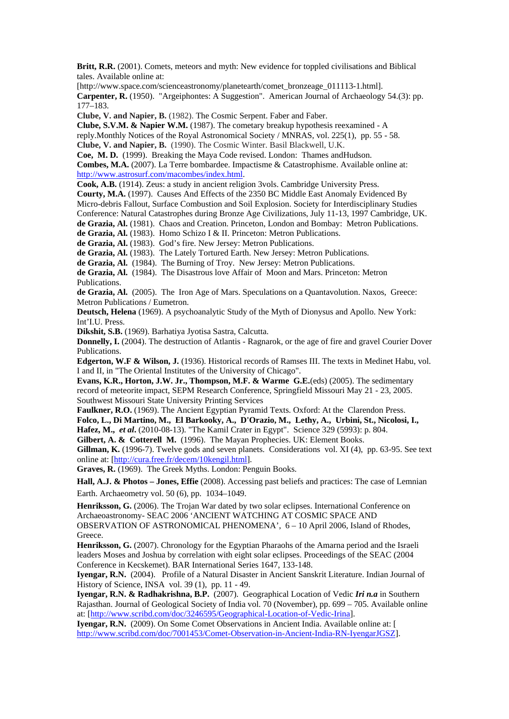**Britt, R.R.** (2001). Comets, meteors and myth: New evidence for toppled civilisations and Biblical tales. Available online at:

[http://www.space.com/scienceastronomy/planetearth/comet\_bronzeage\_011113-1.html]. **Carpenter, R.** (1950). "Argeiphontes: A Suggestion". American Journal of Archaeology 54.(3): pp. 177–183.

**Clube, V. and Napier, B.** (1982). The Cosmic Serpent. Faber and Faber.

**Clube, S.V.M. & Napier W.M.** (1987). The cometary breakup hypothesis reexamined - A reply.Monthly Notices of the Royal Astronomical Society / MNRAS, vol. 225(1), pp. 55 - 58.

**Clube, V. and Napier, B.** (1990). The Cosmic Winter. Basil Blackwell, U.K. **Coe, M. D.** (1999). Breaking the Maya Code revised. London: Thames andHudson.

**Combes, M.A.** (2007). La Terre bombardee. Impactisme & Catastrophisme. Available online at: [http://www.astrosurf.com/macombes/index.html.](http://www.astrosurf.com/macombes/index.html)

**Cook, A.B.** (1914). Zeus: a study in ancient religion 3vols. Cambridge University Press.

**Courty, M.A.** (1997). Causes And Effects of the 2350 BC Middle East Anomaly Evidenced By

Micro-debris Fallout, Surface Combustion and Soil Explosion. Society for Interdisciplinary Studies

Conference: Natural Catastrophes during Bronze Age Civilizations, July 11-13, 1997 Cambridge, UK.

**de Grazia, Al.** (1981). Chaos and Creation. Princeton, London and Bombay: Metron Publications.

**de Grazia, Al.** (1983). Homo Schizo I & II. Princeton: Metron Publications.

**de Grazia, Al.** (1983). God's fire. New Jersey: Metron Publications.

**de Grazia, Al.** (1983). The Lately Tortured Earth. New Jersey: Metron Publications.

**de Grazia, Al.** (1984). The Burning of Troy. New Jersey: Metron Publications.

**de Grazia, Al.** (1984). The Disastrous love Affair of Moon and Mars. Princeton: Metron Publications.

**de Grazia, Al.** (2005). The Iron Age of Mars. Speculations on a Quantavolution. Naxos, Greece: Metron Publications / Eumetron.

**Deutsch, Helena** (1969). A psychoanalytic Study of the Myth of Dionysus and Apollo. New York: Int'I.U. Press.

**Dikshit, S.B.** (1969). Barhatiya Jyotisa Sastra, Calcutta.

**Donnelly, I.** (2004). The destruction of Atlantis - Ragnarok, or the age of fire and gravel Courier Dover Publications.

**Edgerton, W.F & Wilson, J.** (1936). Historical records of Ramses III. The texts in Medinet Habu, vol. I and II, in "The Oriental Institutes of the University of Chicago".

**Evans, K.R., Horton, J.W. Jr., Thompson, M.F. & Warme G.E.**(eds) (2005). The sedimentary record of meteorite impact, SEPM Research Conference, Springfield Missouri May 21 - 23, 2005. Southwest Missouri State University Printing Services

**Faulkner, R.O.** (1969). The Ancient Egyptian Pyramid Texts. Oxford: At the Clarendon Press. **Folco, L., Di Martino, M., El Barkooky, A., D'Orazio, M., Lethy, A., Urbini, St., Nicolosi, I., Hafez, M.,** *et al***.** (2010-08-13). "The Kamil Crater in Egypt". [Science](http://en.wikipedia.org/wiki/Science_(journal)) 329 (5993): p. 804.

**Gilbert, A. & Cotterell M.** (1996). The Mayan Prophecies. UK: Element Books.

**Gillman, K.** (1996-7). Twelve gods and seven planets. Considerations vol. XI (4), pp. 63-95. See text online at: [\[http://cura.free.fr/decem/10kengil.html\]](http://cura.free.fr/decem/10kengil.html).

**Graves, R.** (1969). The Greek Myths. London: Penguin Books.

**Hall, A.J. & Photos – Jones, Effie** (2008). Accessing past beliefs and practices: The case of Lemnian Earth. Archaeometry [vol. 50 \(6\), pp. 1](http://onlinelibrary.wiley.com/doi/10.1111/arch.2008.50.issue-6/issuetoc)034–1049.

**Henriksson, G.** (2006). The Trojan War dated by two solar eclipses. International Conference on Archaeoastronomy- SEAC 2006 'ANCIENT WATCHING AT COSMIC SPACE AND

OBSERVATION OF ASTRONOMICAL PHENOMENA', 6 – 10 April 2006, Island of Rhodes, Greece.

**Henriksson, G.** (2007). Chronology for the Egyptian Pharaohs of the Amarna period and the Israeli leaders Moses and Joshua by correlation with eight solar eclipses. Proceedings of the SEAC (2004 Conference in Kecskemet). BAR International Series 1647, 133-148.

**Iyengar, R.N.** (2004). Profile of a Natural Disaster in Ancient Sanskrit Literature. Indian Journal of History of Science, INSA vol. 39 (1), pp. 11 - 49.

**Iyengar, R.N. & Radhakrishna, B.P.** (2007). Geographical Location of Vedic *Iri n.a* in Southern Rajasthan. Journal of Geological Society of India vol. 70 (November), pp. 699 – 705. Available online at: [\[http://www.scribd.com/doc/3246595/Geographical-Location-of-Vedic-Irina\]](http://www.scribd.com/doc/3246595/Geographical-Location-of-Vedic-Irina).

**Iyengar, R.N.** (2009). On Some Comet Observations in Ancient India. Available online at: [ [http://www.scribd.com/doc/7001453/Comet-Observation-in-Ancient-India-RN-IyengarJGSZ\]](http://www.scribd.com/doc/7001453/Comet-Observation-in-Ancient-India-RN-IyengarJGSZ).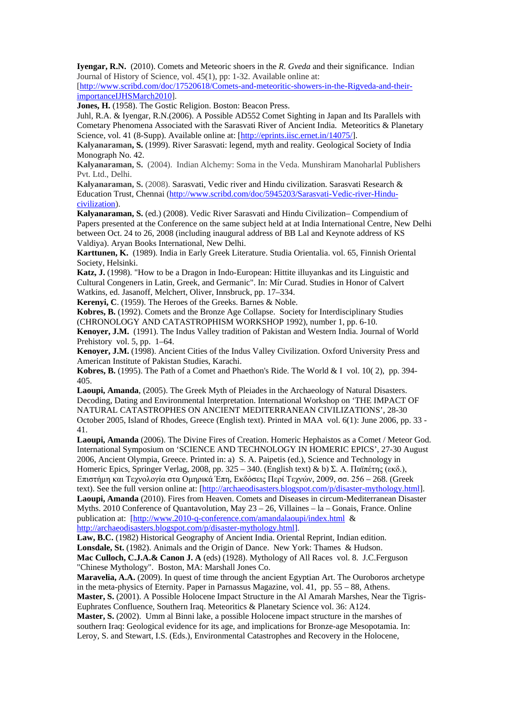**Iyengar, R.N.** (2010). Comets and Meteoric shoers in the *R. Gveda* and their significance. Indian Journal of History of Science*,* vol. 45(1), pp: 1-32. Available online at:

[\[http://www.scribd.com/doc/17520618/Comets-and-meteoritic-showers-in-the-Rigveda-and-their](http://www.scribd.com/doc/17520618/Comets-and-meteoritic-showers-in-the-Rigveda-and-their-importanceIJHSMarch2010)[importanceIJHSMarch2010\]](http://www.scribd.com/doc/17520618/Comets-and-meteoritic-showers-in-the-Rigveda-and-their-importanceIJHSMarch2010).

**Jones, H.** (1958). The Gostic Religion. Boston: Beacon Press.

Juhl, R.A. & Iyengar, R.N.(2006). A Possible AD552 Comet Sighting in Japan and Its Parallels with Cometary Phenomena Associated with the Sarasvati River of Ancient India. Meteoritics & Planetary Science, vol. 41 (8-Supp). Available online at: [\[http://eprints.iisc.ernet.in/14075/\]](http://eprints.iisc.ernet.in/14075/).

**Kalyanaraman, S.** (1999). River Sarasvati: legend, myth and reality. Geological Society of India Monograph No. 42.

**Kalyanaraman, S.** (2004). Indian Alchemy: Soma in the Veda. Munshiram Manoharlal Publishers Pvt. Ltd., Delhi.

**Kalyanaraman, S.** (2008). Sarasvati, Vedic river and Hindu civilization. Sarasvati Research & Education Trust, Chennai [\(http://www.scribd.com/doc/5945203/Sarasvati-Vedic-river-Hindu](http://www.scribd.com/doc/5945203/Sarasvati-Vedic-river-Hindu-civilization)[civilization\)](http://www.scribd.com/doc/5945203/Sarasvati-Vedic-river-Hindu-civilization).

**Kalyanaraman, S.** (ed.) (2008). Vedic River Sarasvati and Hindu Civilization– Compendium of Papers presented at the Conference on the same subject held at at India International Centre, New Delhi between Oct. 24 to 26, 2008 (including inaugural address of BB Lal and Keynote address of KS Valdiya). Aryan Books International, New Delhi.

**Karttunen, K.** (1989). India in Early Greek Literature. Studia Orientalia. vol. 65, Finnish Oriental Society, Helsinki.

**Katz, J.** (1998). "How to be a Dragon in Indo-European: Hittite illuyankas and its Linguistic and Cultural Congeners in Latin, Greek, and Germanic". In: Mír Curad. Studies in Honor of Calvert Watkins, ed. Jasanoff, Melchert, Oliver, Innsbruck, pp. 17–334.

**Kerenyi, C**. (1959). The Heroes of the Greeks. Barnes & Noble.

**Kobres, B.** (1992). Comets and the Bronze Age Collapse. Society for Interdisciplinary Studies (CHRONOLOGY AND CATASTROPHISM WORKSHOP 1992), number 1, pp. 6-10.

**Kenoyer, J.M.** (1991). The Indus Valley tradition of Pakistan and Western India. Journal of World Prehistory vol. 5, pp. 1–64.

**Kenoyer, J.M.** (1998). Ancient Cities of the Indus Valley Civilization. Oxford University Press and American Institute of Pakistan Studies, Karachi.

**Kobres, B.** (1995). The Path of a Comet and Phaethon's Ride. The World & I vol. 10( 2), pp. 394- 405.

**Laoupi, Amanda**, (2005). The Greek Myth of Pleiades in the Archaeology of Natural Disasters. Decoding, Dating and Environmental Interpretation. International Workshop on 'THE IMPACT OF NATURAL CATASTROPHES ON ANCIENT MEDITERRANEAN CIVILIZATIONS', 28-30 October 2005, Island of Rhodes, Greece (English text). Printed in MAA vol. 6(1): June 2006, pp. 33 - 41.

**Laoupi, Amanda** (2006). The Divine Fires of Creation. Homeric Hephaistos as a Comet / Meteor God. International Symposium on 'SCIENCE AND TECHNOLOGY IN HOMERIC EPICS', 27-30 August 2006, Ancient Olympia, Greece. Printed in: a) S. A. Paipetis (ed.), Science and Technology in Homeric Epics, Springer Verlag, 2008, pp. 325 – 340. (English text) & b) Σ. Α. Παϊπέτης (εκδ.), Επιστήμη και Τεχνολογία στα Ομηρικά Έπη, Εκδόσεις Περί Τεχνών, 2009, σσ. 256 – 268. (Greek text). See the full version online at: [\[http://archaeodisasters.blogspot.com/p/disaster-mythology.html\]](http://archaeodisasters.blogspot.com/p/disaster-mythology.html). **Laoupi, Amanda** (2010). Fires from Heaven. Comets and Diseases in circum-Mediterranean Disaster Myths. 2010 Conference of Quantavolution, May 23 – 26, Villaines – la – Gonais, France. Online publication at: [\[http://www.2010-q-conference.com/amandalaoupi/index.html](http://www.2010-q-conference.com/amandalaoupi/index.html) &

[http://archaeodisasters.blogspot.com/p/disaster-mythology.html\]](http://archaeodisasters.blogspot.com/p/disaster-mythology.html).

**Law, B.C.** (1982) Historical Geography of Ancient India. Oriental Reprint, Indian edition. **Lonsdale, St.** (1982). Animals and the Origin of Dance. New York: Thames & Hudson. **Mac Culloch, C.J.A.& Canon J. A** (eds) (1928). Mythology of All Races vol. 8. J.C.Ferguson

"Chinese Mythology". Boston, MA: Marshall Jones Co. **Maravelia, A.A.** (2009). In quest of time through the ancient Egyptian Art. The Ouroboros archetype in the meta-physics of Eternity. Paper in Parnassus Magazine, vol. 41, pp. 55 – 88, Athens.

**Master, S.** (2001). A Possible Holocene Impact Structure in the Al Amarah Marshes, Near the Tigris-Euphrates Confluence, Southern Iraq. Meteoritics & Planetary Science vol. 36: A124.

**Master, S.** (2002). Umm al Binni lake, a possible Holocene impact structure in the marshes of southern Iraq: Geological evidence for its age, and implications for Bronze-age Mesopotamia. In: Leroy, S. and Stewart, I.S. (Eds.), Environmental Catastrophes and Recovery in the Holocene,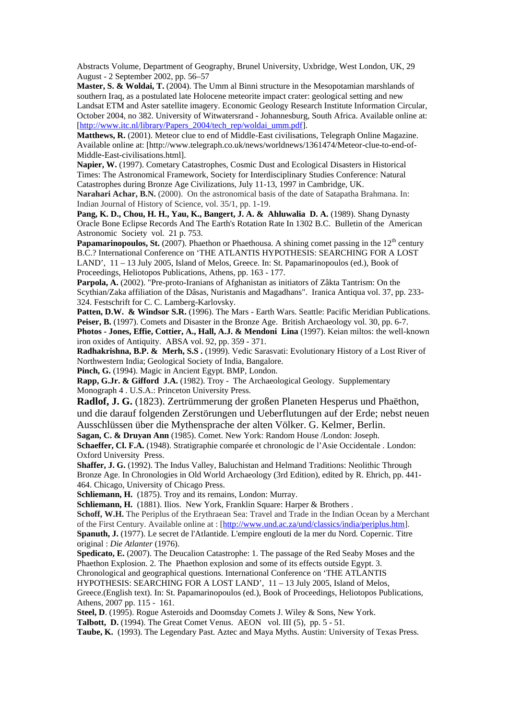Abstracts Volume, Department of Geography, Brunel University, Uxbridge, West London, UK, 29 August - 2 September 2002, pp. 56–57

**Master, S. & Woldai, T.** (2004). The Umm al Binni structure in the Mesopotamian marshlands of southern Iraq, as a postulated late Holocene meteorite impact crater: geological setting and new Landsat ETM and Aster satellite imagery. Economic Geology Research Institute Information Circular, October 2004, no 382. University of Witwatersrand - Johannesburg, South Africa. Available online at: [\[http://www.itc.nl/library/Papers\\_2004/tech\\_rep/woldai\\_umm.pdf\]](http://www.itc.nl/library/Papers_2004/tech_rep/woldai_umm.pdf).

**Matthews, R.** (2001). Meteor clue to end of Middle-East civilisations, Telegraph Online Magazine. Available online at: [http://www.telegraph.co.uk/news/worldnews/1361474/Meteor-clue-to-end-of-Middle-East-civilisations.html].

**Napier, W.** (1997). Cometary Catastrophes, Cosmic Dust and Ecological Disasters in Historical Times: The Astronomical Framework, Society for Interdisciplinary Studies Conference: Natural Catastrophes during Bronze Age Civilizations, July 11-13, 1997 in Cambridge, UK.

**Narahari Achar, B.N.** (2000). On the astronomical basis of the date of Satapatha Brahmana. In: Indian Journal of History of Science, vol. 35/1, pp. 1-19.

**Pang, K. D., Chou, H. H., Yau, K., Bangert, J. A. & Ahluwalia D. A.** (1989). Shang Dynasty Oracle Bone Eclipse Records And The Earth's Rotation Rate In 1302 B.C. Bulletin of the American Astronomic Society vol. 21 p. 753.

**Papamarinopoulos, St.** (2007). Phaethon or Phaethousa. A shining comet passing in the 12<sup>th</sup> century B.C.? International Conference on 'THE ATLANTIS HYPOTHESIS: SEARCHING FOR A LOST LAND', 11 – 13 July 2005, Island of Melos, Greece. In: St. Papamarinopoulos (ed.), Book of Proceedings, Heliotopos Publications, Athens, pp. 163 - 177.

**Parpola, A.** (2002). "Pre-proto-Iranians of Afghanistan as initiators of Zâkta Tantrism: On the Scythian/Zaka affiliation of the Dâsas, Nuristanis and Magadhans". Iranica Antiqua vol. 37, pp. 233- 324. Festschrift for C. C. Lamberg-Karlovsky.

Patten, D.W. & Windsor S.R. (1996). The Mars - Earth Wars. Seattle: Pacific Meridian Publications. Peiser, B. (1997). Comets and Disaster in the Bronze Age. British Archaeology vol. 30, pp. 6-7.

**Photos - Jones, Effie, Cottier, A., Hall, A.J. & Mendoni Lina** (1997). Keian miltos: the well-known iron oxides of Antiquity. ABSA vol. 92, pp. 359 - 371.

**Radhakrishna, B.P. & Merh, S.S .** (1999). Vedic Sarasvati: Evolutionary History of a Lost River of Northwestern India; Geological Society of India, Bangalore.

**Pinch, G.** (1994). Magic in Ancient Egypt. BMP, London.

**Rapp, G.Jr. & Gifford J.A.** (1982). Troy - The Archaeological Geology. Supplementary Monograph 4 . U.S.A.: Princeton University Press.

**Radlof, J. G.** (1823). Zertrümmerung der großen Planeten Hesperus und Phaëthon, und die darauf folgenden Zerstörungen und Ueberflutungen auf der Erde; nebst neuen

Ausschlüssen über die Mythensprache der alten Völker. G. Kelmer, Berlin.

**Sagan, C. & Druyan Ann** (1985). Comet. New York: Random House /London: Joseph.

**Schaeffer, Cl. F.A.** (1948). Stratigraphie comparée et chronologic de l'Asie Occidentale . London: Oxford University Press.

**Shaffer, J. G.** (1992). The Indus Valley, Baluchistan and Helmand Traditions: Neolithic Through Bronze Age. In Chronologies in Old World Archaeology (3rd Edition), edited by R. Ehrich, pp. 441- 464. Chicago, University of Chicago Press.

**Schliemann, H.** (1875). Troy and its remains, London: Murray.

Schliemann, H. (1881). Ilios. New York, Franklin Square: Harper & Brothers.

**Schoff, W.H.** The Periplus of the Erythraean Sea: Travel and Trade in the Indian Ocean by a Merchant of the First Century. Available online at : [\[http://www.und.ac.za/und/classics/india/periplus.htm\]](http://www.und.ac.za/und/classics/india/periplus.htm). **Spanuth, J.** (1977). Le secret de l'Atlantide. L'empire englouti de la mer du Nord*.* Copernic. Titre original : *Die Atlanter* (1976).

**Spedicato, E.** (2007). The Deucalion Catastrophe: 1. The passage of the Red Seaby Moses and the Phaethon Explosion. 2. The Phaethon explosion and some of its effects outside Egypt. 3.

Chronological and geographical questions. International Conference on 'THE ATLANTIS

HYPOTHESIS: SEARCHING FOR A LOST LAND', 11 – 13 July 2005, Island of Melos, Greece.(English text). In: St. Papamarinopoulos (ed.), Book of Proceedings, Heliotopos Publications, Athens, 2007 pp. 115 - 161.

**Steel, D**. (1995). Rogue Asteroids and Doomsday Comets J. Wiley & Sons, New York.

**Talbott, D.** (1994). The Great Comet Venus. AEON vol. III (5), pp. 5 - 51.

**Taube, K.** (1993). The Legendary Past. Aztec and Maya Myths. Austin: University of Texas Press.